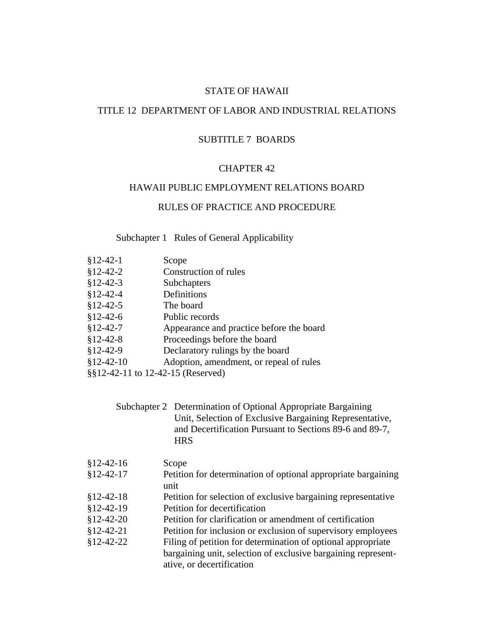## STATE OF HAWAII

## TITLE 12 DEPARTMENT OF LABOR AND INDUSTRIAL RELATIONS

## SUBTITLE 7 BOARDS

## CHAPTER 42

## HAWAII PUBLIC EMPLOYMENT RELATIONS BOARD

## RULES OF PRACTICE AND PROCEDURE

# Subchapter 1 Rules of General Applicability

- §12-42-1 Scope §12-42-2 Construction of rules §12-42-3 Subchapters §12-42-4 Definitions §12-42-5 The board §12-42-6 Public records §12-42-7 Appearance and practice before the board §12-42-8 Proceedings before the board §12-42-9 Declaratory rulings by the board §12-42-10 Adoption, amendment, or repeal of rules
- §§12-42-11 to 12-42-15 (Reserved)

| Subchapter 2 Determination of Optional Appropriate Bargaining |
|---------------------------------------------------------------|
| Unit, Selection of Exclusive Bargaining Representative,       |
| and Decertification Pursuant to Sections 89-6 and 89-7.       |
| <b>HRS</b>                                                    |

| $$12-42-16$ | Scope                                                                 |
|-------------|-----------------------------------------------------------------------|
| $$12-42-17$ | Petition for determination of optional appropriate bargaining<br>unit |
| $$12-42-18$ | Petition for selection of exclusive bargaining representative         |
| $$12-42-19$ | Petition for decertification                                          |
| $$12-42-20$ | Petition for clarification or amendment of certification              |
| $$12-42-21$ | Petition for inclusion or exclusion of supervisory employees          |
| $$12-42-22$ | Filing of petition for determination of optional appropriate          |
|             | bargaining unit, selection of exclusive bargaining represent-         |
|             | ative, or decertification                                             |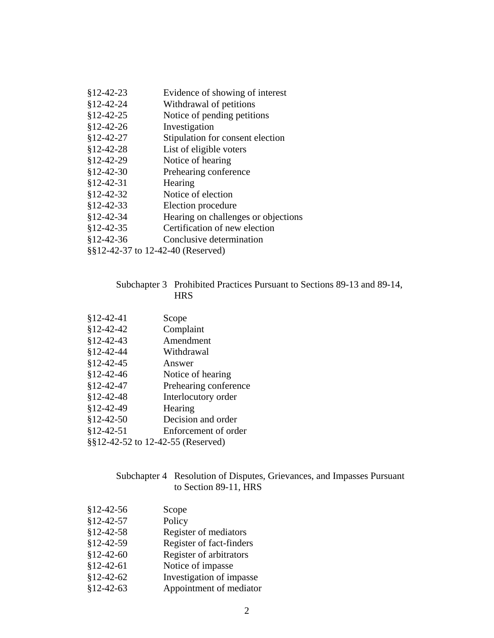- §12-42-23 Evidence of showing of interest
- §12-42-24 Withdrawal of petitions
- §12-42-25 Notice of pending petitions
- §12-42-26 Investigation
- §12-42-27 Stipulation for consent election
- §12-42-28 List of eligible voters
- §12-42-29 Notice of hearing
- §12-42-30 Prehearing conference
- §12-42-31 Hearing
- §12-42-32 Notice of election
- §12-42-33 Election procedure
- §12-42-34 Hearing on challenges or objections
- §12-42-35 Certification of new election
- §12-42-36 Conclusive determination
- §§12-42-37 to 12-42-40 (Reserved)

## Subchapter 3 Prohibited Practices Pursuant to Sections 89-13 and 89-14, HRS

| \$12-42-41                        | Scope                 |
|-----------------------------------|-----------------------|
| \$12-42-42                        | Complaint             |
| $$12-42-43$                       | Amendment             |
| \$12-42-44                        | Withdrawal            |
| \$12-42-45                        | Answer                |
| $$12-42-46$                       | Notice of hearing     |
| \$12-42-47                        | Prehearing conference |
| $$12-42-48$                       | Interlocutory order   |
| \$12-42-49                        | Hearing               |
| $$12-42-50$                       | Decision and order    |
| \$12-42-51                        | Enforcement of order  |
| §§12-42-52 to 12-42-55 (Reserved) |                       |

## Subchapter 4 Resolution of Disputes, Grievances, and Impasses Pursuant to Section 89-11, HRS

§12-42-56 Scope §12-42-57 Policy §12-42-58 Register of mediators §12-42-59 Register of fact-finders §12-42-60 Register of arbitrators §12-42-61 Notice of impasse §12-42-62 Investigation of impasse §12-42-63 Appointment of mediator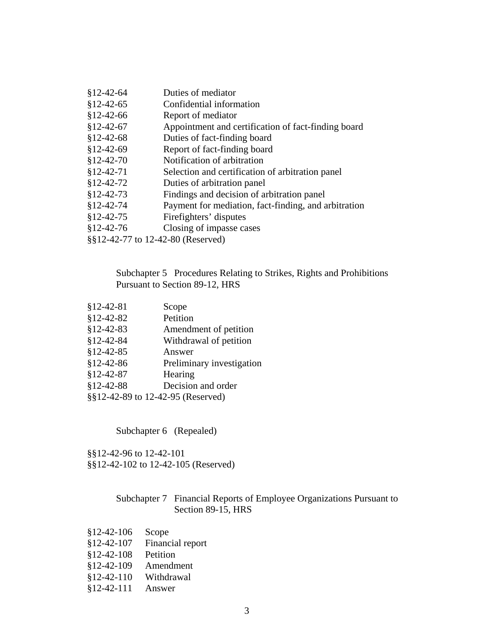| $$12-42-64$                       | Duties of mediator                                   |  |
|-----------------------------------|------------------------------------------------------|--|
| $$12-42-65$                       | Confidential information                             |  |
| $$12-42-66$                       | Report of mediator                                   |  |
| $$12-42-67$                       | Appointment and certification of fact-finding board  |  |
| $$12-42-68$                       | Duties of fact-finding board                         |  |
| $$12-42-69$                       | Report of fact-finding board                         |  |
| $$12-42-70$                       | Notification of arbitration                          |  |
| $$12-42-71$                       | Selection and certification of arbitration panel     |  |
| $$12-42-72$                       | Duties of arbitration panel                          |  |
| $$12-42-73$                       | Findings and decision of arbitration panel           |  |
| $$12-42-74$                       | Payment for mediation, fact-finding, and arbitration |  |
| $$12-42-75$                       | Firefighters' disputes                               |  |
| $$12-42-76$                       | Closing of impasse cases                             |  |
| §§12-42-77 to 12-42-80 (Reserved) |                                                      |  |

# Subchapter 5 Procedures Relating to Strikes, Rights and Prohibitions Pursuant to Section 89-12, HRS

| \$12-42-81  | Scope                             |
|-------------|-----------------------------------|
| $$12-42-82$ | Petition                          |
| $$12-42-83$ | Amendment of petition             |
| $$12-42-84$ | Withdrawal of petition            |
| $$12-42-85$ | Answer                            |
| \$12-42-86  | Preliminary investigation         |
| $$12-42-87$ | Hearing                           |
| $$12-42-88$ | Decision and order                |
|             | §§12-42-89 to 12-42-95 (Reserved) |

Subchapter 6 (Repealed)

§§12-42-96 to 12-42-101 §§12-42-102 to 12-42-105 (Reserved)

# Subchapter 7 Financial Reports of Employee Organizations Pursuant to Section 89-15, HRS

- §12-42-106 Scope §12-42-107 Financial report §12-42-108 Petition §12-42-109 Amendment §12-42-110 Withdrawal
- §12-42-111 Answer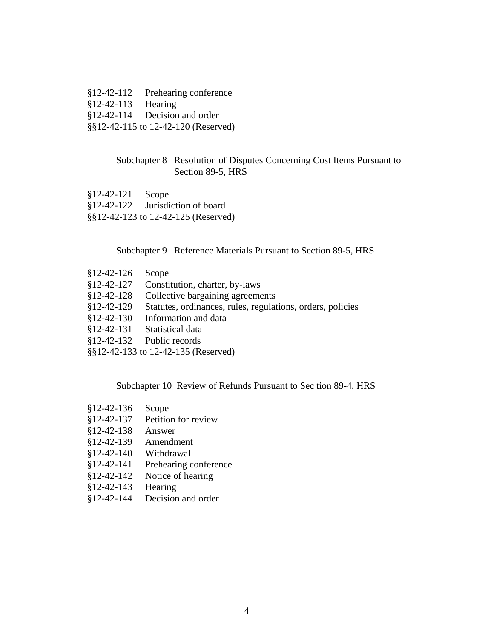§12-42-112 Prehearing conference §12-42-113 Hearing §12-42-114 Decision and order §§12-42-115 to 12-42-120 (Reserved)

## Subchapter 8 Resolution of Disputes Concerning Cost Items Pursuant to Section 89-5, HRS

- §12-42-121 Scope §12-42-122 Jurisdiction of board
- §§12-42-123 to 12-42-125 (Reserved)

Subchapter 9 Reference Materials Pursuant to Section 89-5, HRS

- §12-42-126 Scope
- §12-42-127 Constitution, charter, by-laws
- §12-42-128 Collective bargaining agreements
- §12-42-129 Statutes, ordinances, rules, regulations, orders, policies
- §12-42-130 Information and data
- §12-42-131 Statistical data
- §12-42-132 Public records
- §§12-42-133 to 12-42-135 (Reserved)

Subchapter 10 Review of Refunds Pursuant to Sec tion 89-4, HRS

- §12-42-136 Scope §12-42-137 Petition for review §12-42-138 Answer §12-42-139 Amendment §12-42-140 Withdrawal §12-42-141 Prehearing conference §12-42-142 Notice of hearing §12-42-143 Hearing
- §12-42-144 Decision and order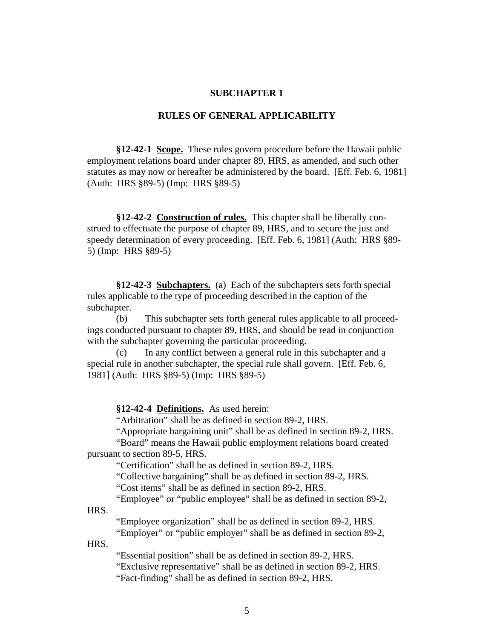## **SUBCHAPTER 1**

### **RULES OF GENERAL APPLICABILITY**

**§12-42-1 Scope.** These rules govern procedure before the Hawaii public employment relations board under chapter 89, HRS, as amended, and such other statutes as may now or hereafter be administered by the board. [Eff. Feb. 6, 1981] (Auth: HRS §89-5) (Imp: HRS §89-5)

**§12-42-2 Construction of rules.** This chapter shall be liberally construed to effectuate the purpose of chapter 89, HRS, and to secure the just and speedy determination of every proceeding. [Eff. Feb. 6, 1981] (Auth: HRS §89- 5) (Imp: HRS §89-5)

**§12-42-3 Subchapters.** (a) Each of the subchapters sets forth special rules applicable to the type of proceeding described in the caption of the subchapter.

(b) This subchapter sets forth general rules applicable to all proceedings conducted pursuant to chapter 89, HRS, and should be read in conjunction with the subchapter governing the particular proceeding.

In any conflict between a general rule in this subchapter and a special rule in another subchapter, the special rule shall govern. [Eff. Feb. 6, 1981] (Auth: HRS §89-5) (Imp: HRS §89-5)

**§12-42-4 Definitions.** As used herein:

"Arbitration" shall be as defined in section 89-2, HRS.

"Appropriate bargaining unit" shall be as defined in section 89-2, HRS. "Board" means the Hawaii public employment relations board created

pursuant to section 89-5, HRS.

"Certification" shall be as defined in section 89-2, HRS.

"Collective bargaining" shall be as defined in section 89-2, HRS.

"Cost items" shall be as defined in section 89-2, HRS.

"Employee" or "public employee" shall be as defined in section 89-2,

HRS.

"Employee organization" shall be as defined in section 89-2, HRS.

"Employer" or "public employer" shall be as defined in section 89-2, HRS.

"Essential position" shall be as defined in section 89-2, HRS.

"Exclusive representative" shall be as defined in section 89-2, HRS.

"Fact-finding" shall be as defined in section 89-2, HRS.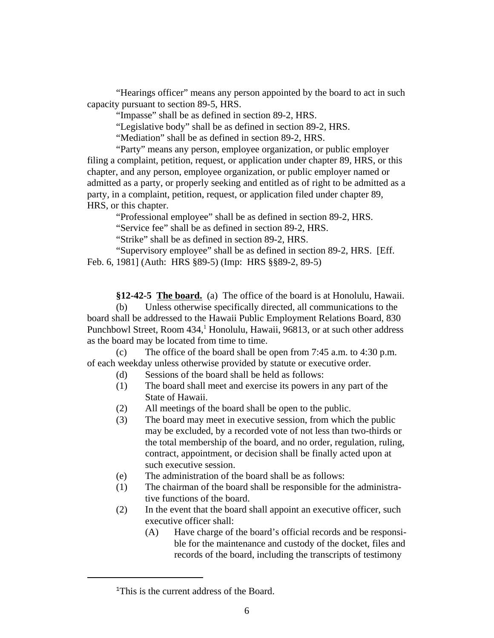"Hearings officer" means any person appointed by the board to act in such capacity pursuant to section 89-5, HRS.

"Impasse" shall be as defined in section 89-2, HRS.

"Legislative body" shall be as defined in section 89-2, HRS.

"Mediation" shall be as defined in section 89-2, HRS.

"Party" means any person, employee organization, or public employer filing a complaint, petition, request, or application under chapter 89, HRS, or this chapter, and any person, employee organization, or public employer named or admitted as a party, or properly seeking and entitled as of right to be admitted as a party, in a complaint, petition, request, or application filed under chapter 89, HRS, or this chapter.

"Professional employee" shall be as defined in section 89-2, HRS.

"Service fee" shall be as defined in section 89-2, HRS.

"Strike" shall be as defined in section 89-2, HRS.

"Supervisory employee" shall be as defined in section 89-2, HRS. [Eff. Feb. 6, 1981] (Auth: HRS §89-5) (Imp: HRS §§89-2, 89-5)

**§12-42-5 The board.** (a) The office of the board is at Honolulu, Hawaii.

(b) Unless otherwise specifically directed, all communications to the board shall be addressed to the Hawaii Public Employment Relations Board, 830 Punchbowl Street, Room 434,<sup>1</sup> Honolulu, Hawaii, 96813, or at such other address as the board may be located from time to time.

(c) The office of the board shall be open from 7:45 a.m. to 4:30 p.m. of each weekday unless otherwise provided by statute or executive order.

- (d) Sessions of the board shall be held as follows:
- (1) The board shall meet and exercise its powers in any part of the State of Hawaii.
- (2) All meetings of the board shall be open to the public.
- (3) The board may meet in executive session, from which the public may be excluded, by a recorded vote of not less than two-thirds or the total membership of the board, and no order, regulation, ruling, contract, appointment, or decision shall be finally acted upon at such executive session.
- (e) The administration of the board shall be as follows:
- (1) The chairman of the board shall be responsible for the administrative functions of the board.
- (2) In the event that the board shall appoint an executive officer, such executive officer shall:
	- (A) Have charge of the board's official records and be responsible for the maintenance and custody of the docket, files and records of the board, including the transcripts of testimony

<sup>&</sup>lt;sup>1</sup>This is the current address of the Board.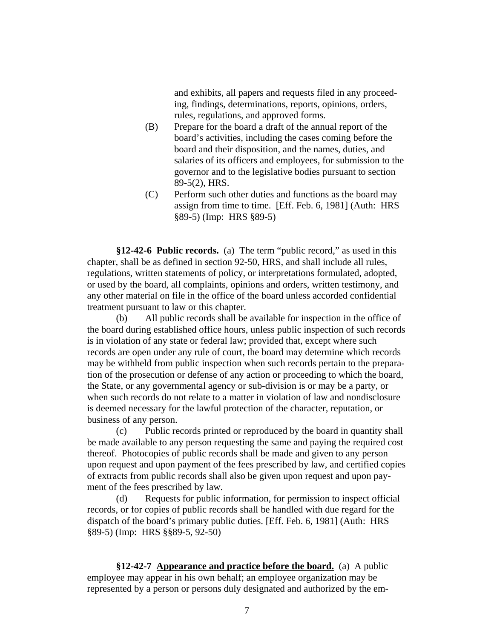and exhibits, all papers and requests filed in any proceeding, findings, determinations, reports, opinions, orders, rules, regulations, and approved forms.

- (B) Prepare for the board a draft of the annual report of the board's activities, including the cases coming before the board and their disposition, and the names, duties, and salaries of its officers and employees, for submission to the governor and to the legislative bodies pursuant to section 89-5(2), HRS.
- (C) Perform such other duties and functions as the board may assign from time to time. [Eff. Feb. 6, 1981] (Auth: HRS §89-5) (Imp: HRS §89-5)

**§12-42-6 Public records.** (a) The term "public record," as used in this chapter, shall be as defined in section 92-50, HRS, and shall include all rules, regulations, written statements of policy, or interpretations formulated, adopted, or used by the board, all complaints, opinions and orders, written testimony, and any other material on file in the office of the board unless accorded confidential treatment pursuant to law or this chapter.

(b) All public records shall be available for inspection in the office of the board during established office hours, unless public inspection of such records is in violation of any state or federal law; provided that, except where such records are open under any rule of court, the board may determine which records may be withheld from public inspection when such records pertain to the preparation of the prosecution or defense of any action or proceeding to which the board, the State, or any governmental agency or sub-division is or may be a party, or when such records do not relate to a matter in violation of law and nondisclosure is deemed necessary for the lawful protection of the character, reputation, or business of any person.

(c) Public records printed or reproduced by the board in quantity shall be made available to any person requesting the same and paying the required cost thereof. Photocopies of public records shall be made and given to any person upon request and upon payment of the fees prescribed by law, and certified copies of extracts from public records shall also be given upon request and upon payment of the fees prescribed by law.

(d) Requests for public information, for permission to inspect official records, or for copies of public records shall be handled with due regard for the dispatch of the board's primary public duties. [Eff. Feb. 6, 1981] (Auth: HRS §89-5) (Imp: HRS §§89-5, 92-50)

**§12-42-7 Appearance and practice before the board.** (a) A public employee may appear in his own behalf; an employee organization may be represented by a person or persons duly designated and authorized by the em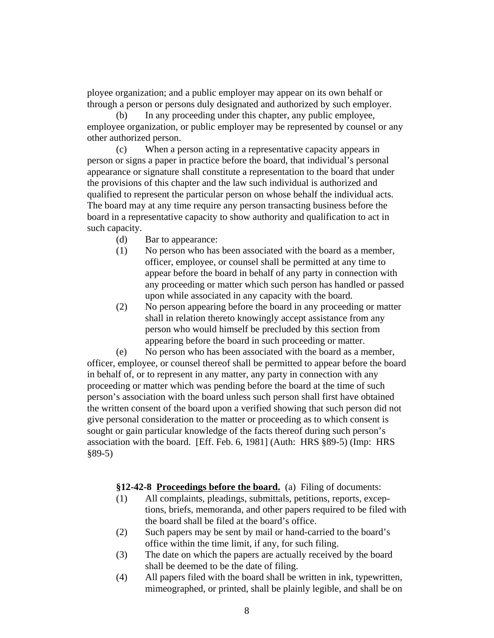ployee organization; and a public employer may appear on its own behalf or through a person or persons duly designated and authorized by such employer.

(b) In any proceeding under this chapter, any public employee, employee organization, or public employer may be represented by counsel or any other authorized person.

(c) When a person acting in a representative capacity appears in person or signs a paper in practice before the board, that individual's personal appearance or signature shall constitute a representation to the board that under the provisions of this chapter and the law such individual is authorized and qualified to represent the particular person on whose behalf the individual acts. The board may at any time require any person transacting business before the board in a representative capacity to show authority and qualification to act in such capacity.

- (d) Bar to appearance:
- (1) No person who has been associated with the board as a member, officer, employee, or counsel shall be permitted at any time to appear before the board in behalf of any party in connection with any proceeding or matter which such person has handled or passed upon while associated in any capacity with the board.
- (2) No person appearing before the board in any proceeding or matter shall in relation thereto knowingly accept assistance from any person who would himself be precluded by this section from appearing before the board in such proceeding or matter.

(e) No person who has been associated with the board as a member, officer, employee, or counsel thereof shall be permitted to appear before the board in behalf of, or to represent in any matter, any party in connection with any proceeding or matter which was pending before the board at the time of such person's association with the board unless such person shall first have obtained the written consent of the board upon a verified showing that such person did not give personal consideration to the matter or proceeding as to which consent is sought or gain particular knowledge of the facts thereof during such person's association with the board. [Eff. Feb. 6, 1981] (Auth: HRS §89-5) (Imp: HRS §89-5)

**§12-42-8 Proceedings before the board.** (a) Filing of documents:

- (1) All complaints, pleadings, submittals, petitions, reports, exceptions, briefs, memoranda, and other papers required to be filed with the board shall be filed at the board's office.
- (2) Such papers may be sent by mail or hand-carried to the board's office within the time limit, if any, for such filing.
- (3) The date on which the papers are actually received by the board shall be deemed to be the date of filing.
- (4) All papers filed with the board shall be written in ink, typewritten, mimeographed, or printed, shall be plainly legible, and shall be on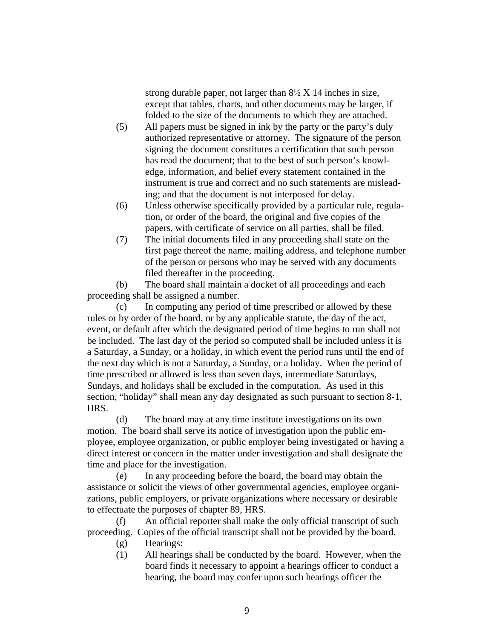strong durable paper, not larger than 8½ X 14 inches in size, except that tables, charts, and other documents may be larger, if folded to the size of the documents to which they are attached.

- (5) All papers must be signed in ink by the party or the party's duly authorized representative or attorney. The signature of the person signing the document constitutes a certification that such person has read the document; that to the best of such person's knowledge, information, and belief every statement contained in the instrument is true and correct and no such statements are misleading; and that the document is not interposed for delay.
- (6) Unless otherwise specifically provided by a particular rule, regulation, or order of the board, the original and five copies of the papers, with certificate of service on all parties, shall be filed.
- (7) The initial documents filed in any proceeding shall state on the first page thereof the name, mailing address, and telephone number of the person or persons who may be served with any documents filed thereafter in the proceeding.

(b) The board shall maintain a docket of all proceedings and each proceeding shall be assigned a number.

(c) In computing any period of time prescribed or allowed by these rules or by order of the board, or by any applicable statute, the day of the act, event, or default after which the designated period of time begins to run shall not be included. The last day of the period so computed shall be included unless it is a Saturday, a Sunday, or a holiday, in which event the period runs until the end of the next day which is not a Saturday, a Sunday, or a holiday. When the period of time prescribed or allowed is less than seven days, intermediate Saturdays, Sundays, and holidays shall be excluded in the computation. As used in this section, "holiday" shall mean any day designated as such pursuant to section 8-1, HRS.

(d) The board may at any time institute investigations on its own motion. The board shall serve its notice of investigation upon the public employee, employee organization, or public employer being investigated or having a direct interest or concern in the matter under investigation and shall designate the time and place for the investigation.

(e) In any proceeding before the board, the board may obtain the assistance or solicit the views of other governmental agencies, employee organizations, public employers, or private organizations where necessary or desirable to effectuate the purposes of chapter 89, HRS.

(f) An official reporter shall make the only official transcript of such proceeding. Copies of the official transcript shall not be provided by the board.

- (g) Hearings:
- (1) All hearings shall be conducted by the board. However, when the board finds it necessary to appoint a hearings officer to conduct a hearing, the board may confer upon such hearings officer the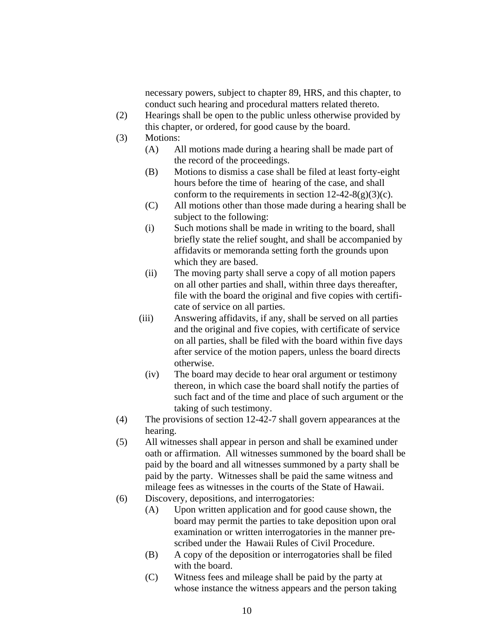necessary powers, subject to chapter 89, HRS, and this chapter, to conduct such hearing and procedural matters related thereto.

- (2) Hearings shall be open to the public unless otherwise provided by this chapter, or ordered, for good cause by the board.
- (3) Motions:
	- (A) All motions made during a hearing shall be made part of the record of the proceedings.
	- (B) Motions to dismiss a case shall be filed at least forty-eight hours before the time of hearing of the case, and shall conform to the requirements in section  $12-42-8(g)(3)(c)$ .
	- (C) All motions other than those made during a hearing shall be subject to the following:
	- (i) Such motions shall be made in writing to the board, shall briefly state the relief sought, and shall be accompanied by affidavits or memoranda setting forth the grounds upon which they are based.
	- (ii) The moving party shall serve a copy of all motion papers on all other parties and shall, within three days thereafter, file with the board the original and five copies with certificate of service on all parties.
	- (iii) Answering affidavits, if any, shall be served on all parties and the original and five copies, with certificate of service on all parties, shall be filed with the board within five days after service of the motion papers, unless the board directs otherwise.
		- (iv) The board may decide to hear oral argument or testimony thereon, in which case the board shall notify the parties of such fact and of the time and place of such argument or the taking of such testimony.
- (4) The provisions of section 12-42-7 shall govern appearances at the hearing.
- (5) All witnesses shall appear in person and shall be examined under oath or affirmation. All witnesses summoned by the board shall be paid by the board and all witnesses summoned by a party shall be paid by the party. Witnesses shall be paid the same witness and mileage fees as witnesses in the courts of the State of Hawaii.
- (6) Discovery, depositions, and interrogatories:
	- (A) Upon written application and for good cause shown, the board may permit the parties to take deposition upon oral examination or written interrogatories in the manner prescribed under the Hawaii Rules of Civil Procedure.
	- (B) A copy of the deposition or interrogatories shall be filed with the board.
	- (C) Witness fees and mileage shall be paid by the party at whose instance the witness appears and the person taking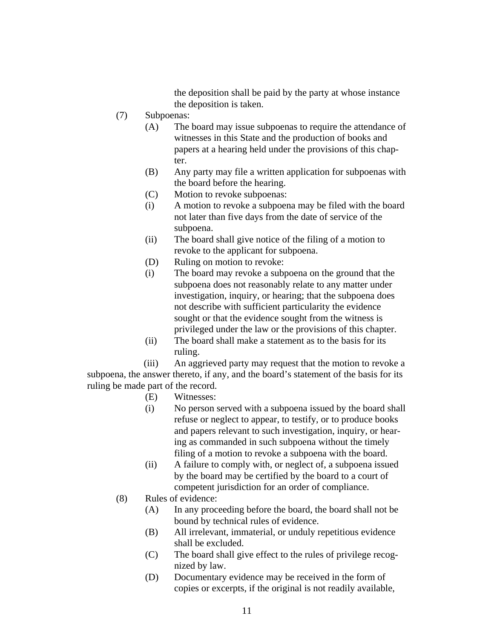the deposition shall be paid by the party at whose instance the deposition is taken.

- (7) Subpoenas:
	- (A) The board may issue subpoenas to require the attendance of witnesses in this State and the production of books and papers at a hearing held under the provisions of this chapter.
	- (B) Any party may file a written application for subpoenas with the board before the hearing.
	- (C) Motion to revoke subpoenas:
	- (i) A motion to revoke a subpoena may be filed with the board not later than five days from the date of service of the subpoena.
	- (ii) The board shall give notice of the filing of a motion to revoke to the applicant for subpoena.
	- (D) Ruling on motion to revoke:
	- (i) The board may revoke a subpoena on the ground that the subpoena does not reasonably relate to any matter under investigation, inquiry, or hearing; that the subpoena does not describe with sufficient particularity the evidence sought or that the evidence sought from the witness is privileged under the law or the provisions of this chapter.
	- (ii) The board shall make a statement as to the basis for its ruling.

 (iii) An aggrieved party may request that the motion to revoke a subpoena, the answer thereto, if any, and the board's statement of the basis for its ruling be made part of the record.

- (E) Witnesses:
- (i) No person served with a subpoena issued by the board shall refuse or neglect to appear, to testify, or to produce books and papers relevant to such investigation, inquiry, or hearing as commanded in such subpoena without the timely filing of a motion to revoke a subpoena with the board.
- (ii) A failure to comply with, or neglect of, a subpoena issued by the board may be certified by the board to a court of competent jurisdiction for an order of compliance.
- (8) Rules of evidence:
	- (A) In any proceeding before the board, the board shall not be bound by technical rules of evidence.
	- (B) All irrelevant, immaterial, or unduly repetitious evidence shall be excluded.
	- (C) The board shall give effect to the rules of privilege recognized by law.
	- (D) Documentary evidence may be received in the form of copies or excerpts, if the original is not readily available,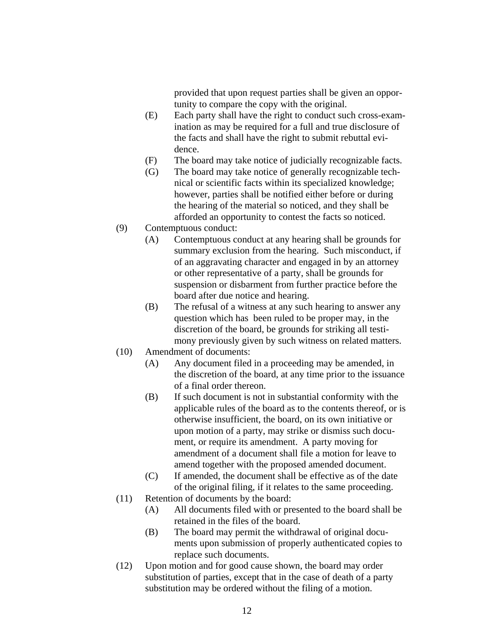provided that upon request parties shall be given an opportunity to compare the copy with the original.

- (E) Each party shall have the right to conduct such cross-examination as may be required for a full and true disclosure of the facts and shall have the right to submit rebuttal evidence.
- (F) The board may take notice of judicially recognizable facts.
- (G) The board may take notice of generally recognizable technical or scientific facts within its specialized knowledge; however, parties shall be notified either before or during the hearing of the material so noticed, and they shall be afforded an opportunity to contest the facts so noticed.
- (9) Contemptuous conduct:
	- (A) Contemptuous conduct at any hearing shall be grounds for summary exclusion from the hearing. Such misconduct, if of an aggravating character and engaged in by an attorney or other representative of a party, shall be grounds for suspension or disbarment from further practice before the board after due notice and hearing.
	- (B) The refusal of a witness at any such hearing to answer any question which has been ruled to be proper may, in the discretion of the board, be grounds for striking all testimony previously given by such witness on related matters.
- (10) Amendment of documents:
	- (A) Any document filed in a proceeding may be amended, in the discretion of the board, at any time prior to the issuance of a final order thereon.
	- (B) If such document is not in substantial conformity with the applicable rules of the board as to the contents thereof, or is otherwise insufficient, the board, on its own initiative or upon motion of a party, may strike or dismiss such document, or require its amendment. A party moving for amendment of a document shall file a motion for leave to amend together with the proposed amended document.
	- (C) If amended, the document shall be effective as of the date of the original filing, if it relates to the same proceeding.
- (11) Retention of documents by the board:
	- (A) All documents filed with or presented to the board shall be retained in the files of the board.
	- (B) The board may permit the withdrawal of original documents upon submission of properly authenticated copies to replace such documents.
- (12) Upon motion and for good cause shown, the board may order substitution of parties, except that in the case of death of a party substitution may be ordered without the filing of a motion.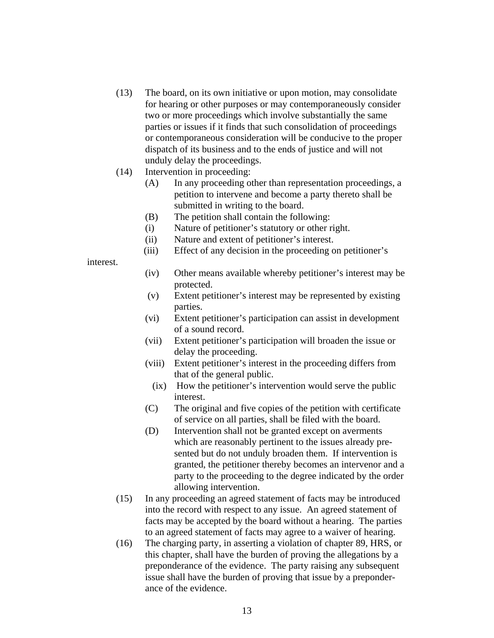- (13) The board, on its own initiative or upon motion, may consolidate for hearing or other purposes or may contemporaneously consider two or more proceedings which involve substantially the same parties or issues if it finds that such consolidation of proceedings or contemporaneous consideration will be conducive to the proper dispatch of its business and to the ends of justice and will not unduly delay the proceedings.
- (14) Intervention in proceeding:
	- (A) In any proceeding other than representation proceedings, a petition to intervene and become a party thereto shall be submitted in writing to the board.
	- (B) The petition shall contain the following:
	- (i) Nature of petitioner's statutory or other right.
	- (ii) Nature and extent of petitioner's interest.
	- (iii) Effect of any decision in the proceeding on petitioner's

## interest.

- (iv) Other means available whereby petitioner's interest may be protected.
- (v) Extent petitioner's interest may be represented by existing parties.
- (vi) Extent petitioner's participation can assist in development of a sound record.
- (vii) Extent petitioner's participation will broaden the issue or delay the proceeding.
- (viii) Extent petitioner's interest in the proceeding differs from that of the general public.
	- (ix) How the petitioner's intervention would serve the public interest.
- (C) The original and five copies of the petition with certificate of service on all parties, shall be filed with the board.
- (D) Intervention shall not be granted except on averments which are reasonably pertinent to the issues already presented but do not unduly broaden them. If intervention is granted, the petitioner thereby becomes an intervenor and a party to the proceeding to the degree indicated by the order allowing intervention.
- (15) In any proceeding an agreed statement of facts may be introduced into the record with respect to any issue. An agreed statement of facts may be accepted by the board without a hearing. The parties to an agreed statement of facts may agree to a waiver of hearing.
- (16) The charging party, in asserting a violation of chapter 89, HRS, or this chapter, shall have the burden of proving the allegations by a preponderance of the evidence. The party raising any subsequent issue shall have the burden of proving that issue by a preponderance of the evidence.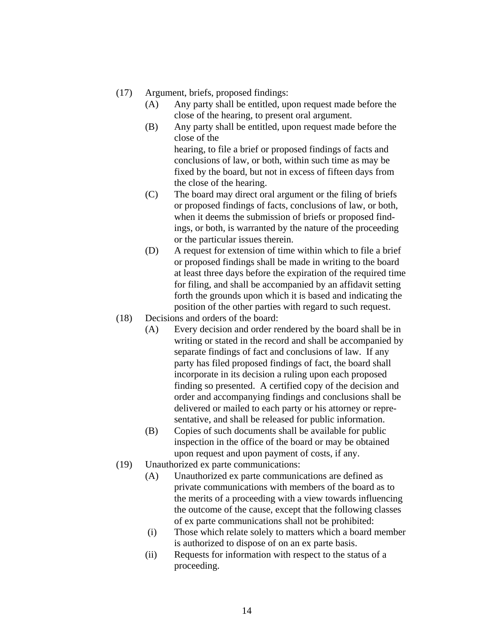- (17) Argument, briefs, proposed findings:
	- (A) Any party shall be entitled, upon request made before the close of the hearing, to present oral argument.
	- (B) Any party shall be entitled, upon request made before the close of the hearing, to file a brief or proposed findings of facts and conclusions of law, or both, within such time as may be fixed by the board, but not in excess of fifteen days from
	- the close of the hearing. (C) The board may direct oral argument or the filing of briefs or proposed findings of facts, conclusions of law, or both, when it deems the submission of briefs or proposed findings, or both, is warranted by the nature of the proceeding or the particular issues therein.
	- (D) A request for extension of time within which to file a brief or proposed findings shall be made in writing to the board at least three days before the expiration of the required time for filing, and shall be accompanied by an affidavit setting forth the grounds upon which it is based and indicating the position of the other parties with regard to such request.
- (18) Decisions and orders of the board:
	- (A) Every decision and order rendered by the board shall be in writing or stated in the record and shall be accompanied by separate findings of fact and conclusions of law. If any party has filed proposed findings of fact, the board shall incorporate in its decision a ruling upon each proposed finding so presented. A certified copy of the decision and order and accompanying findings and conclusions shall be delivered or mailed to each party or his attorney or representative, and shall be released for public information.
	- (B) Copies of such documents shall be available for public inspection in the office of the board or may be obtained upon request and upon payment of costs, if any.
- (19) Unauthorized ex parte communications:
	- (A) Unauthorized ex parte communications are defined as private communications with members of the board as to the merits of a proceeding with a view towards influencing the outcome of the cause, except that the following classes of ex parte communications shall not be prohibited:
	- (i) Those which relate solely to matters which a board member is authorized to dispose of on an ex parte basis.
	- (ii) Requests for information with respect to the status of a proceeding.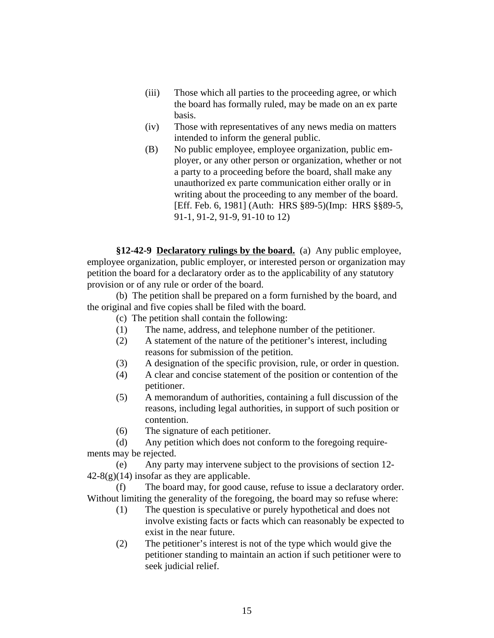- (iii) Those which all parties to the proceeding agree, or which the board has formally ruled, may be made on an ex parte basis.
- (iv) Those with representatives of any news media on matters intended to inform the general public.
- (B) No public employee, employee organization, public employer, or any other person or organization, whether or not a party to a proceeding before the board, shall make any unauthorized ex parte communication either orally or in writing about the proceeding to any member of the board. [Eff. Feb. 6, 1981] (Auth: HRS §89-5)(Imp: HRS §§89-5, 91-1, 91-2, 91-9, 91-10 to 12)

**§12-42-9 Declaratory rulings by the board.** (a) Any public employee, employee organization, public employer, or interested person or organization may petition the board for a declaratory order as to the applicability of any statutory provision or of any rule or order of the board.

(b) The petition shall be prepared on a form furnished by the board, and the original and five copies shall be filed with the board.

(c) The petition shall contain the following:

- (1) The name, address, and telephone number of the petitioner.
- (2) A statement of the nature of the petitioner's interest, including reasons for submission of the petition.
- (3) A designation of the specific provision, rule, or order in question.
- (4) A clear and concise statement of the position or contention of the petitioner.
- (5) A memorandum of authorities, containing a full discussion of the reasons, including legal authorities, in support of such position or contention.
- (6) The signature of each petitioner.

(d) Any petition which does not conform to the foregoing requirements may be rejected.

(e) Any party may intervene subject to the provisions of section 12-  $42-8(g)(14)$  insofar as they are applicable.

(f) The board may, for good cause, refuse to issue a declaratory order. Without limiting the generality of the foregoing, the board may so refuse where:

- (1) The question is speculative or purely hypothetical and does not involve existing facts or facts which can reasonably be expected to exist in the near future.
- (2) The petitioner's interest is not of the type which would give the petitioner standing to maintain an action if such petitioner were to seek judicial relief.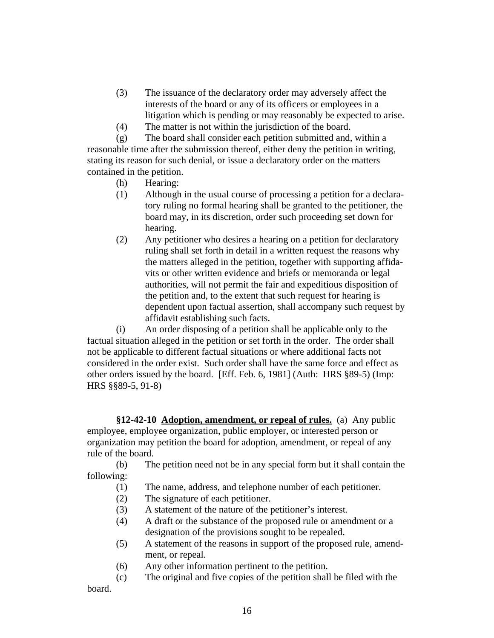- (3) The issuance of the declaratory order may adversely affect the interests of the board or any of its officers or employees in a litigation which is pending or may reasonably be expected to arise.
- (4) The matter is not within the jurisdiction of the board.

(g) The board shall consider each petition submitted and, within a reasonable time after the submission thereof, either deny the petition in writing, stating its reason for such denial, or issue a declaratory order on the matters contained in the petition.

- (h) Hearing:
- (1) Although in the usual course of processing a petition for a declaratory ruling no formal hearing shall be granted to the petitioner, the board may, in its discretion, order such proceeding set down for hearing.
- (2) Any petitioner who desires a hearing on a petition for declaratory ruling shall set forth in detail in a written request the reasons why the matters alleged in the petition, together with supporting affidavits or other written evidence and briefs or memoranda or legal authorities, will not permit the fair and expeditious disposition of the petition and, to the extent that such request for hearing is dependent upon factual assertion, shall accompany such request by affidavit establishing such facts.

(i) An order disposing of a petition shall be applicable only to the factual situation alleged in the petition or set forth in the order. The order shall not be applicable to different factual situations or where additional facts not considered in the order exist. Such order shall have the same force and effect as other orders issued by the board. [Eff. Feb. 6, 1981] (Auth: HRS §89-5) (Imp: HRS §§89-5, 91-8)

**§12-42-10 Adoption, amendment, or repeal of rules.** (a) Any public employee, employee organization, public employer, or interested person or organization may petition the board for adoption, amendment, or repeal of any rule of the board.

(b) The petition need not be in any special form but it shall contain the following:

- (1) The name, address, and telephone number of each petitioner.
- (2) The signature of each petitioner.
- (3) A statement of the nature of the petitioner's interest.
- (4) A draft or the substance of the proposed rule or amendment or a designation of the provisions sought to be repealed.
- (5) A statement of the reasons in support of the proposed rule, amendment, or repeal.
- (6) Any other information pertinent to the petition.
- (c) The original and five copies of the petition shall be filed with the

board.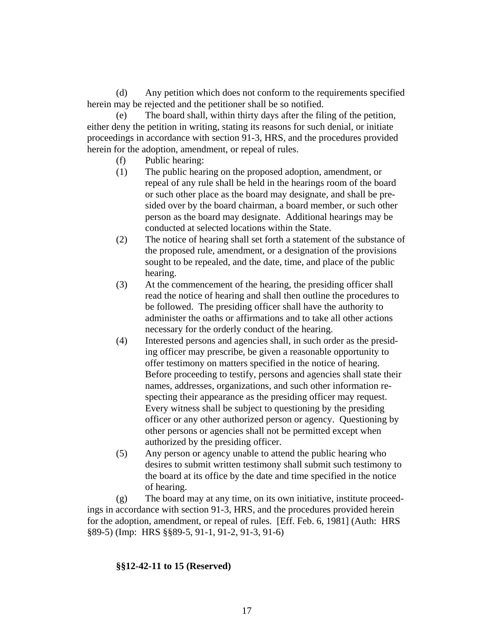(d) Any petition which does not conform to the requirements specified herein may be rejected and the petitioner shall be so notified.

(e) The board shall, within thirty days after the filing of the petition, either deny the petition in writing, stating its reasons for such denial, or initiate proceedings in accordance with section 91-3, HRS, and the procedures provided herein for the adoption, amendment, or repeal of rules.

- (f) Public hearing:
- (1) The public hearing on the proposed adoption, amendment, or repeal of any rule shall be held in the hearings room of the board or such other place as the board may designate, and shall be presided over by the board chairman, a board member, or such other person as the board may designate. Additional hearings may be conducted at selected locations within the State.
- (2) The notice of hearing shall set forth a statement of the substance of the proposed rule, amendment, or a designation of the provisions sought to be repealed, and the date, time, and place of the public hearing.
- (3) At the commencement of the hearing, the presiding officer shall read the notice of hearing and shall then outline the procedures to be followed. The presiding officer shall have the authority to administer the oaths or affirmations and to take all other actions necessary for the orderly conduct of the hearing.
- (4) Interested persons and agencies shall, in such order as the presiding officer may prescribe, be given a reasonable opportunity to offer testimony on matters specified in the notice of hearing. Before proceeding to testify, persons and agencies shall state their names, addresses, organizations, and such other information respecting their appearance as the presiding officer may request. Every witness shall be subject to questioning by the presiding officer or any other authorized person or agency. Questioning by other persons or agencies shall not be permitted except when authorized by the presiding officer.
- (5) Any person or agency unable to attend the public hearing who desires to submit written testimony shall submit such testimony to the board at its office by the date and time specified in the notice of hearing.

(g) The board may at any time, on its own initiative, institute proceedings in accordance with section 91-3, HRS, and the procedures provided herein for the adoption, amendment, or repeal of rules. [Eff. Feb. 6, 1981] (Auth: HRS §89-5) (Imp: HRS §§89-5, 91-1, 91-2, 91-3, 91-6)

## **§§12-42-11 to 15 (Reserved)**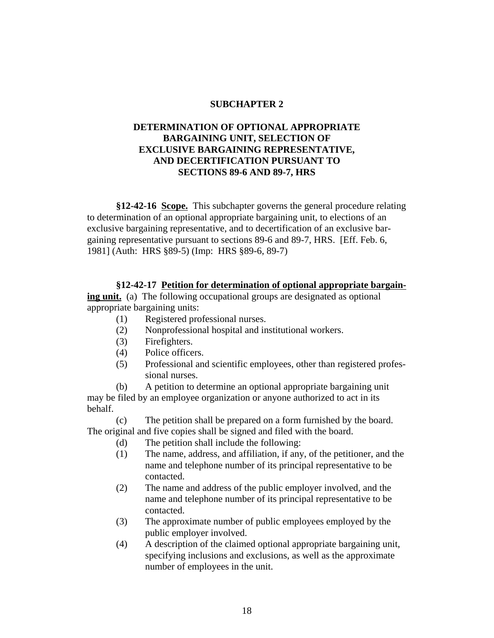## **SUBCHAPTER 2**

# **DETERMINATION OF OPTIONAL APPROPRIATE BARGAINING UNIT, SELECTION OF EXCLUSIVE BARGAINING REPRESENTATIVE, AND DECERTIFICATION PURSUANT TO SECTIONS 89-6 AND 89-7, HRS**

**§12-42-16 Scope.** This subchapter governs the general procedure relating to determination of an optional appropriate bargaining unit, to elections of an exclusive bargaining representative, and to decertification of an exclusive bargaining representative pursuant to sections 89-6 and 89-7, HRS. [Eff. Feb. 6, 1981] (Auth: HRS §89-5) (Imp: HRS §89-6, 89-7)

## **§12-42-17 Petition for determination of optional appropriate bargain-**

**ing unit.** (a) The following occupational groups are designated as optional appropriate bargaining units:

- (1) Registered professional nurses.
- (2) Nonprofessional hospital and institutional workers.
- (3) Firefighters.
- (4) Police officers.
- (5) Professional and scientific employees, other than registered professional nurses.

(b) A petition to determine an optional appropriate bargaining unit may be filed by an employee organization or anyone authorized to act in its behalf.

(c) The petition shall be prepared on a form furnished by the board. The original and five copies shall be signed and filed with the board.

- (d) The petition shall include the following:
- (1) The name, address, and affiliation, if any, of the petitioner, and the name and telephone number of its principal representative to be contacted.
- (2) The name and address of the public employer involved, and the name and telephone number of its principal representative to be contacted.
- (3) The approximate number of public employees employed by the public employer involved.
- (4) A description of the claimed optional appropriate bargaining unit, specifying inclusions and exclusions, as well as the approximate number of employees in the unit.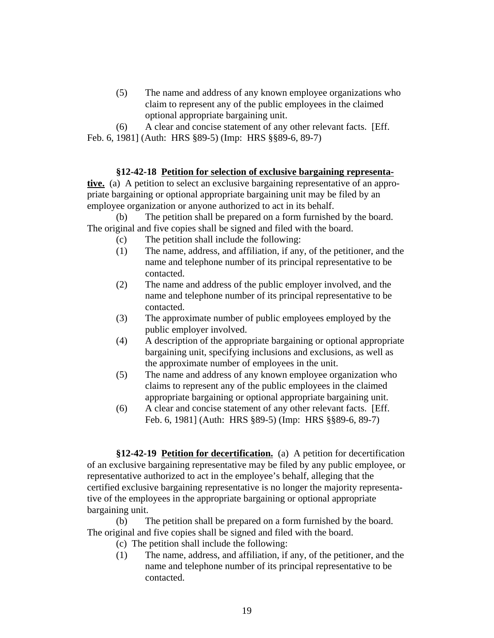(5) The name and address of any known employee organizations who claim to represent any of the public employees in the claimed optional appropriate bargaining unit.

(6) A clear and concise statement of any other relevant facts. [Eff. Feb. 6, 1981] (Auth: HRS §89-5) (Imp: HRS §§89-6, 89-7)

# **§12-42-18 Petition for selection of exclusive bargaining representa-**

**tive.** (a) A petition to select an exclusive bargaining representative of an appropriate bargaining or optional appropriate bargaining unit may be filed by an employee organization or anyone authorized to act in its behalf.

(b) The petition shall be prepared on a form furnished by the board. The original and five copies shall be signed and filed with the board.

- (c) The petition shall include the following:
- (1) The name, address, and affiliation, if any, of the petitioner, and the name and telephone number of its principal representative to be contacted.
- (2) The name and address of the public employer involved, and the name and telephone number of its principal representative to be contacted.
- (3) The approximate number of public employees employed by the public employer involved.
- (4) A description of the appropriate bargaining or optional appropriate bargaining unit, specifying inclusions and exclusions, as well as the approximate number of employees in the unit.
- (5) The name and address of any known employee organization who claims to represent any of the public employees in the claimed appropriate bargaining or optional appropriate bargaining unit.
- (6) A clear and concise statement of any other relevant facts. [Eff. Feb. 6, 1981] (Auth: HRS §89-5) (Imp: HRS §§89-6, 89-7)

**§12-42-19 Petition for decertification.** (a) A petition for decertification of an exclusive bargaining representative may be filed by any public employee, or representative authorized to act in the employee's behalf, alleging that the certified exclusive bargaining representative is no longer the majority representative of the employees in the appropriate bargaining or optional appropriate bargaining unit.

(b) The petition shall be prepared on a form furnished by the board. The original and five copies shall be signed and filed with the board.

- (c) The petition shall include the following:
- (1) The name, address, and affiliation, if any, of the petitioner, and the name and telephone number of its principal representative to be contacted.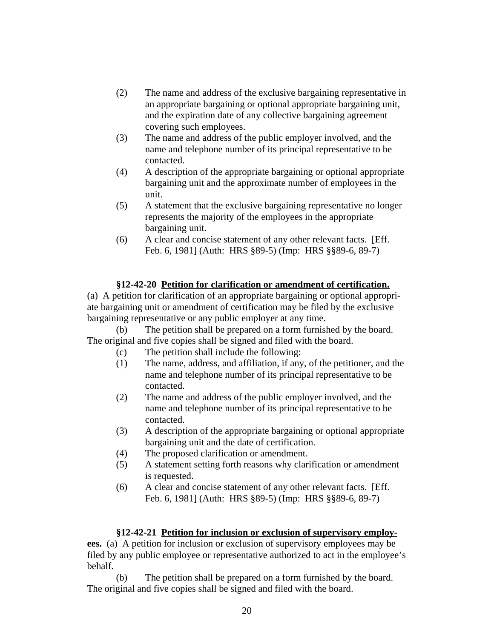- (2) The name and address of the exclusive bargaining representative in an appropriate bargaining or optional appropriate bargaining unit, and the expiration date of any collective bargaining agreement covering such employees.
- (3) The name and address of the public employer involved, and the name and telephone number of its principal representative to be contacted.
- (4) A description of the appropriate bargaining or optional appropriate bargaining unit and the approximate number of employees in the unit.
- (5) A statement that the exclusive bargaining representative no longer represents the majority of the employees in the appropriate bargaining unit.
- (6) A clear and concise statement of any other relevant facts. [Eff. Feb. 6, 1981] (Auth: HRS §89-5) (Imp: HRS §§89-6, 89-7)

# **§12-42-20 Petition for clarification or amendment of certification.**

(a) A petition for clarification of an appropriate bargaining or optional appropriate bargaining unit or amendment of certification may be filed by the exclusive bargaining representative or any public employer at any time.

(b) The petition shall be prepared on a form furnished by the board. The original and five copies shall be signed and filed with the board.

- (c) The petition shall include the following:
- (1) The name, address, and affiliation, if any, of the petitioner, and the name and telephone number of its principal representative to be contacted.
- (2) The name and address of the public employer involved, and the name and telephone number of its principal representative to be contacted.
- (3) A description of the appropriate bargaining or optional appropriate bargaining unit and the date of certification.
- (4) The proposed clarification or amendment.
- (5) A statement setting forth reasons why clarification or amendment is requested.
- (6) A clear and concise statement of any other relevant facts. [Eff. Feb. 6, 1981] (Auth: HRS §89-5) (Imp: HRS §§89-6, 89-7)

## **§12-42-21 Petition for inclusion or exclusion of supervisory employ-**

**ees.** (a) A petition for inclusion or exclusion of supervisory employees may be filed by any public employee or representative authorized to act in the employee's behalf.

(b) The petition shall be prepared on a form furnished by the board. The original and five copies shall be signed and filed with the board.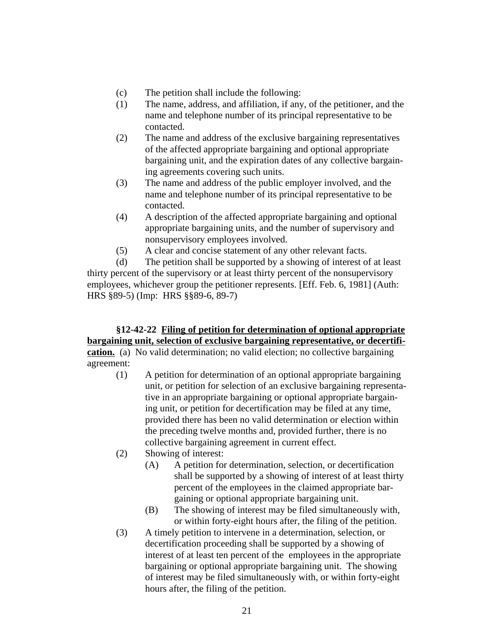- (c) The petition shall include the following:
- (1) The name, address, and affiliation, if any, of the petitioner, and the name and telephone number of its principal representative to be contacted.
- (2) The name and address of the exclusive bargaining representatives of the affected appropriate bargaining and optional appropriate bargaining unit, and the expiration dates of any collective bargaining agreements covering such units.
- (3) The name and address of the public employer involved, and the name and telephone number of its principal representative to be contacted.
- (4) A description of the affected appropriate bargaining and optional appropriate bargaining units, and the number of supervisory and nonsupervisory employees involved.
- (5) A clear and concise statement of any other relevant facts.

(d) The petition shall be supported by a showing of interest of at least thirty percent of the supervisory or at least thirty percent of the nonsupervisory employees, whichever group the petitioner represents. [Eff. Feb. 6, 1981] (Auth: HRS §89-5) (Imp: HRS §§89-6, 89-7)

# **§12-42-22 Filing of petition for determination of optional appropriate bargaining unit, selection of exclusive bargaining representative, or decertification.** (a) No valid determination; no valid election; no collective bargaining agreement:

- (1) A petition for determination of an optional appropriate bargaining unit, or petition for selection of an exclusive bargaining representative in an appropriate bargaining or optional appropriate bargaining unit, or petition for decertification may be filed at any time, provided there has been no valid determination or election within the preceding twelve months and, provided further, there is no collective bargaining agreement in current effect.
- (2) Showing of interest:
	- (A) A petition for determination, selection, or decertification shall be supported by a showing of interest of at least thirty percent of the employees in the claimed appropriate bargaining or optional appropriate bargaining unit.
	- (B) The showing of interest may be filed simultaneously with, or within forty-eight hours after, the filing of the petition.
- (3) A timely petition to intervene in a determination, selection, or decertification proceeding shall be supported by a showing of interest of at least ten percent of the employees in the appropriate bargaining or optional appropriate bargaining unit. The showing of interest may be filed simultaneously with, or within forty-eight hours after, the filing of the petition.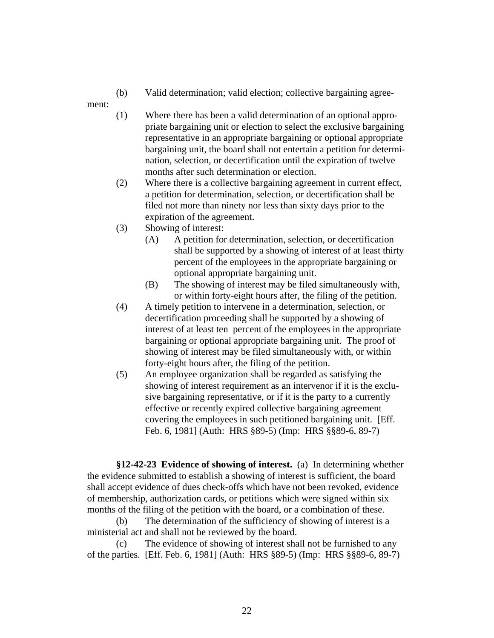(b) Valid determination; valid election; collective bargaining agree-

ment:

- (1) Where there has been a valid determination of an optional appropriate bargaining unit or election to select the exclusive bargaining representative in an appropriate bargaining or optional appropriate bargaining unit, the board shall not entertain a petition for determination, selection, or decertification until the expiration of twelve months after such determination or election.
- (2) Where there is a collective bargaining agreement in current effect, a petition for determination, selection, or decertification shall be filed not more than ninety nor less than sixty days prior to the expiration of the agreement.
- (3) Showing of interest:
	- (A) A petition for determination, selection, or decertification shall be supported by a showing of interest of at least thirty percent of the employees in the appropriate bargaining or optional appropriate bargaining unit.
	- (B) The showing of interest may be filed simultaneously with, or within forty-eight hours after, the filing of the petition.
- (4) A timely petition to intervene in a determination, selection, or decertification proceeding shall be supported by a showing of interest of at least ten percent of the employees in the appropriate bargaining or optional appropriate bargaining unit. The proof of showing of interest may be filed simultaneously with, or within forty-eight hours after, the filing of the petition.
- (5) An employee organization shall be regarded as satisfying the showing of interest requirement as an intervenor if it is the exclusive bargaining representative, or if it is the party to a currently effective or recently expired collective bargaining agreement covering the employees in such petitioned bargaining unit. [Eff. Feb. 6, 1981] (Auth: HRS §89-5) (Imp: HRS §§89-6, 89-7)

**§12-42-23 Evidence of showing of interest.** (a) In determining whether the evidence submitted to establish a showing of interest is sufficient, the board shall accept evidence of dues check-offs which have not been revoked, evidence of membership, authorization cards, or petitions which were signed within six months of the filing of the petition with the board, or a combination of these.

(b) The determination of the sufficiency of showing of interest is a ministerial act and shall not be reviewed by the board.

(c) The evidence of showing of interest shall not be furnished to any of the parties. [Eff. Feb. 6, 1981] (Auth: HRS §89-5) (Imp: HRS §§89-6, 89-7)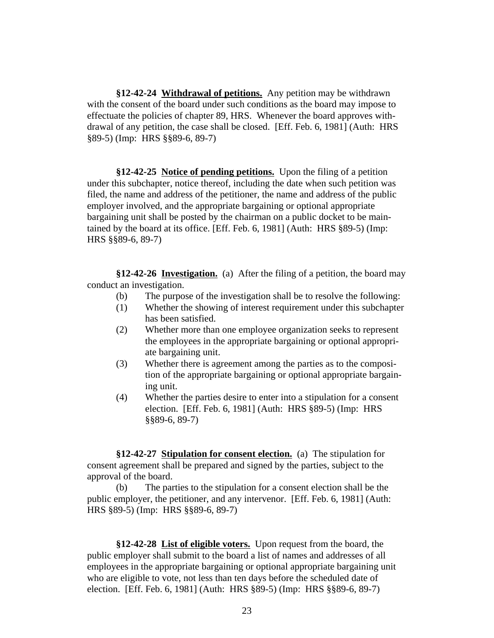**§12-42-24 Withdrawal of petitions.** Any petition may be withdrawn with the consent of the board under such conditions as the board may impose to effectuate the policies of chapter 89, HRS. Whenever the board approves withdrawal of any petition, the case shall be closed. [Eff. Feb. 6, 1981] (Auth: HRS §89-5) (Imp: HRS §§89-6, 89-7)

**§12-42-25 Notice of pending petitions.** Upon the filing of a petition under this subchapter, notice thereof, including the date when such petition was filed, the name and address of the petitioner, the name and address of the public employer involved, and the appropriate bargaining or optional appropriate bargaining unit shall be posted by the chairman on a public docket to be maintained by the board at its office. [Eff. Feb. 6, 1981] (Auth: HRS §89-5) (Imp: HRS §§89-6, 89-7)

**§12-42-26 Investigation.** (a) After the filing of a petition, the board may conduct an investigation.

- (b) The purpose of the investigation shall be to resolve the following:
- (1) Whether the showing of interest requirement under this subchapter has been satisfied.
- (2) Whether more than one employee organization seeks to represent the employees in the appropriate bargaining or optional appropriate bargaining unit.
- (3) Whether there is agreement among the parties as to the composition of the appropriate bargaining or optional appropriate bargaining unit.
- (4) Whether the parties desire to enter into a stipulation for a consent election. [Eff. Feb. 6, 1981] (Auth: HRS §89-5) (Imp: HRS §§89-6, 89-7)

**§12-42-27 Stipulation for consent election.** (a) The stipulation for consent agreement shall be prepared and signed by the parties, subject to the approval of the board.

(b) The parties to the stipulation for a consent election shall be the public employer, the petitioner, and any intervenor. [Eff. Feb. 6, 1981] (Auth: HRS §89-5) (Imp: HRS §§89-6, 89-7)

**§12-42-28 List of eligible voters.** Upon request from the board, the public employer shall submit to the board a list of names and addresses of all employees in the appropriate bargaining or optional appropriate bargaining unit who are eligible to vote, not less than ten days before the scheduled date of election. [Eff. Feb. 6, 1981] (Auth: HRS §89-5) (Imp: HRS §§89-6, 89-7)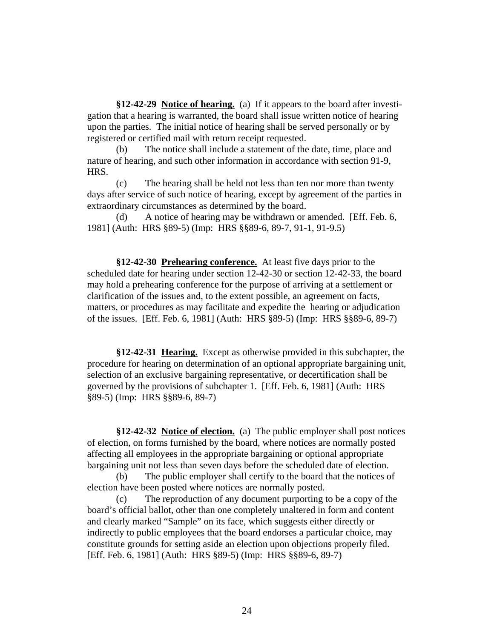**§12-42-29 Notice of hearing.** (a) If it appears to the board after investigation that a hearing is warranted, the board shall issue written notice of hearing upon the parties. The initial notice of hearing shall be served personally or by registered or certified mail with return receipt requested.

(b) The notice shall include a statement of the date, time, place and nature of hearing, and such other information in accordance with section 91-9, HRS.

(c) The hearing shall be held not less than ten nor more than twenty days after service of such notice of hearing, except by agreement of the parties in extraordinary circumstances as determined by the board.

(d) A notice of hearing may be withdrawn or amended. [Eff. Feb. 6, 1981] (Auth: HRS §89-5) (Imp: HRS §§89-6, 89-7, 91-1, 91-9.5)

**§12-42-30 Prehearing conference.** At least five days prior to the scheduled date for hearing under section 12-42-30 or section 12-42-33, the board may hold a prehearing conference for the purpose of arriving at a settlement or clarification of the issues and, to the extent possible, an agreement on facts, matters, or procedures as may facilitate and expedite the hearing or adjudication of the issues. [Eff. Feb. 6, 1981] (Auth: HRS §89-5) (Imp: HRS §§89-6, 89-7)

**§12-42-31 Hearing.** Except as otherwise provided in this subchapter, the procedure for hearing on determination of an optional appropriate bargaining unit, selection of an exclusive bargaining representative, or decertification shall be governed by the provisions of subchapter 1. [Eff. Feb. 6, 1981] (Auth: HRS §89-5) (Imp: HRS §§89-6, 89-7)

**§12-42-32 Notice of election.** (a) The public employer shall post notices of election, on forms furnished by the board, where notices are normally posted affecting all employees in the appropriate bargaining or optional appropriate bargaining unit not less than seven days before the scheduled date of election.

(b) The public employer shall certify to the board that the notices of election have been posted where notices are normally posted.

(c) The reproduction of any document purporting to be a copy of the board's official ballot, other than one completely unaltered in form and content and clearly marked "Sample" on its face, which suggests either directly or indirectly to public employees that the board endorses a particular choice, may constitute grounds for setting aside an election upon objections properly filed. [Eff. Feb. 6, 1981] (Auth: HRS §89-5) (Imp: HRS §§89-6, 89-7)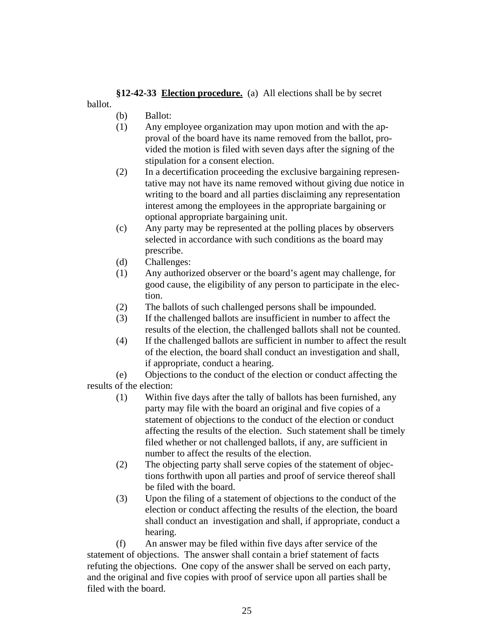**§12-42-33 Election procedure.** (a) All elections shall be by secret ballot.

- (b) Ballot:
- (1) Any employee organization may upon motion and with the approval of the board have its name removed from the ballot, provided the motion is filed with seven days after the signing of the stipulation for a consent election.
- (2) In a decertification proceeding the exclusive bargaining representative may not have its name removed without giving due notice in writing to the board and all parties disclaiming any representation interest among the employees in the appropriate bargaining or optional appropriate bargaining unit.
- (c) Any party may be represented at the polling places by observers selected in accordance with such conditions as the board may prescribe.
- (d) Challenges:
- (1) Any authorized observer or the board's agent may challenge, for good cause, the eligibility of any person to participate in the election.
- (2) The ballots of such challenged persons shall be impounded.
- (3) If the challenged ballots are insufficient in number to affect the results of the election, the challenged ballots shall not be counted.
- (4) If the challenged ballots are sufficient in number to affect the result of the election, the board shall conduct an investigation and shall, if appropriate, conduct a hearing.

(e) Objections to the conduct of the election or conduct affecting the results of the election:

- (1) Within five days after the tally of ballots has been furnished, any party may file with the board an original and five copies of a statement of objections to the conduct of the election or conduct affecting the results of the election. Such statement shall be timely filed whether or not challenged ballots, if any, are sufficient in number to affect the results of the election.
- (2) The objecting party shall serve copies of the statement of objections forthwith upon all parties and proof of service thereof shall be filed with the board.
- (3) Upon the filing of a statement of objections to the conduct of the election or conduct affecting the results of the election, the board shall conduct an investigation and shall, if appropriate, conduct a hearing.

(f) An answer may be filed within five days after service of the statement of objections. The answer shall contain a brief statement of facts refuting the objections. One copy of the answer shall be served on each party, and the original and five copies with proof of service upon all parties shall be filed with the board.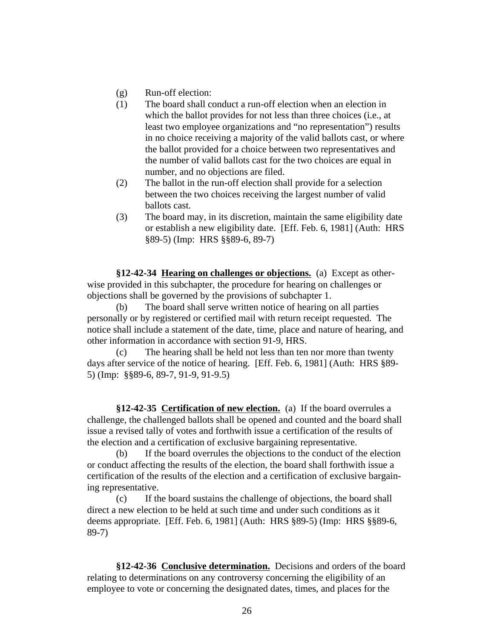- (g) Run-off election:
- (1) The board shall conduct a run-off election when an election in which the ballot provides for not less than three choices (i.e., at least two employee organizations and "no representation") results in no choice receiving a majority of the valid ballots cast, or where the ballot provided for a choice between two representatives and the number of valid ballots cast for the two choices are equal in number, and no objections are filed.
- (2) The ballot in the run-off election shall provide for a selection between the two choices receiving the largest number of valid ballots cast.
- (3) The board may, in its discretion, maintain the same eligibility date or establish a new eligibility date. [Eff. Feb. 6, 1981] (Auth: HRS §89-5) (Imp: HRS §§89-6, 89-7)

**§12-42-34 Hearing on challenges or objections.** (a) Except as otherwise provided in this subchapter, the procedure for hearing on challenges or objections shall be governed by the provisions of subchapter 1.

(b) The board shall serve written notice of hearing on all parties personally or by registered or certified mail with return receipt requested. The notice shall include a statement of the date, time, place and nature of hearing, and other information in accordance with section 91-9, HRS.

(c) The hearing shall be held not less than ten nor more than twenty days after service of the notice of hearing. [Eff. Feb. 6, 1981] (Auth: HRS §89- 5) (Imp: §§89-6, 89-7, 91-9, 91-9.5)

**§12-42-35 Certification of new election.** (a) If the board overrules a challenge, the challenged ballots shall be opened and counted and the board shall issue a revised tally of votes and forthwith issue a certification of the results of the election and a certification of exclusive bargaining representative.

(b) If the board overrules the objections to the conduct of the election or conduct affecting the results of the election, the board shall forthwith issue a certification of the results of the election and a certification of exclusive bargaining representative.

(c) If the board sustains the challenge of objections, the board shall direct a new election to be held at such time and under such conditions as it deems appropriate. [Eff. Feb. 6, 1981] (Auth: HRS §89-5) (Imp: HRS §§89-6, 89-7)

**§12-42-36 Conclusive determination.** Decisions and orders of the board relating to determinations on any controversy concerning the eligibility of an employee to vote or concerning the designated dates, times, and places for the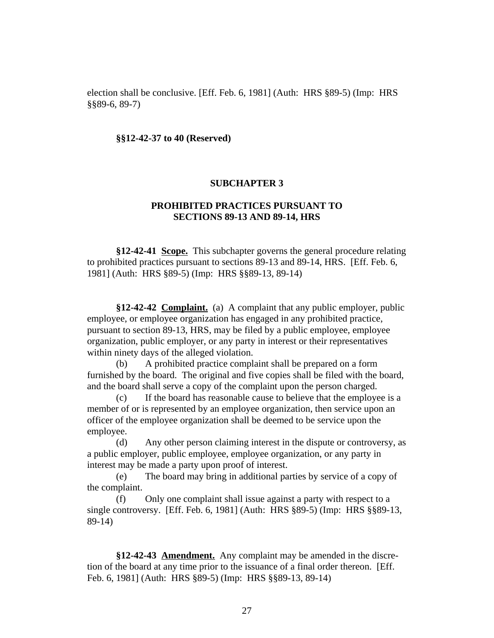election shall be conclusive. [Eff. Feb. 6, 1981] (Auth: HRS §89-5) (Imp: HRS §§89-6, 89-7)

#### **§§12-42-37 to 40 (Reserved)**

#### **SUBCHAPTER 3**

# **PROHIBITED PRACTICES PURSUANT TO SECTIONS 89-13 AND 89-14, HRS**

**§12-42-41 Scope.** This subchapter governs the general procedure relating to prohibited practices pursuant to sections 89-13 and 89-14, HRS. [Eff. Feb. 6, 1981] (Auth: HRS §89-5) (Imp: HRS §§89-13, 89-14)

**§12-42-42 Complaint.** (a) A complaint that any public employer, public employee, or employee organization has engaged in any prohibited practice, pursuant to section 89-13, HRS, may be filed by a public employee, employee organization, public employer, or any party in interest or their representatives within ninety days of the alleged violation.

(b) A prohibited practice complaint shall be prepared on a form furnished by the board. The original and five copies shall be filed with the board, and the board shall serve a copy of the complaint upon the person charged.

(c) If the board has reasonable cause to believe that the employee is a member of or is represented by an employee organization, then service upon an officer of the employee organization shall be deemed to be service upon the employee.

(d) Any other person claiming interest in the dispute or controversy, as a public employer, public employee, employee organization, or any party in interest may be made a party upon proof of interest.

(e) The board may bring in additional parties by service of a copy of the complaint.

(f) Only one complaint shall issue against a party with respect to a single controversy. [Eff. Feb. 6, 1981] (Auth: HRS §89-5) (Imp: HRS §§89-13, 89-14)

**§12-42-43 Amendment.** Any complaint may be amended in the discretion of the board at any time prior to the issuance of a final order thereon. [Eff. Feb. 6, 1981] (Auth: HRS §89-5) (Imp: HRS §§89-13, 89-14)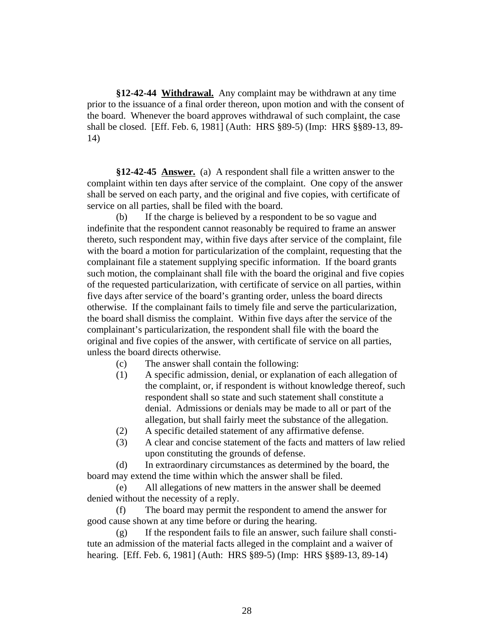**§12-42-44 Withdrawal.** Any complaint may be withdrawn at any time prior to the issuance of a final order thereon, upon motion and with the consent of the board. Whenever the board approves withdrawal of such complaint, the case shall be closed. [Eff. Feb. 6, 1981] (Auth: HRS §89-5) (Imp: HRS §§89-13, 89- 14)

**§12-42-45 Answer.** (a) A respondent shall file a written answer to the complaint within ten days after service of the complaint. One copy of the answer shall be served on each party, and the original and five copies, with certificate of service on all parties, shall be filed with the board.

(b) If the charge is believed by a respondent to be so vague and indefinite that the respondent cannot reasonably be required to frame an answer thereto, such respondent may, within five days after service of the complaint, file with the board a motion for particularization of the complaint, requesting that the complainant file a statement supplying specific information. If the board grants such motion, the complainant shall file with the board the original and five copies of the requested particularization, with certificate of service on all parties, within five days after service of the board's granting order, unless the board directs otherwise. If the complainant fails to timely file and serve the particularization, the board shall dismiss the complaint. Within five days after the service of the complainant's particularization, the respondent shall file with the board the original and five copies of the answer, with certificate of service on all parties, unless the board directs otherwise.

- (c) The answer shall contain the following:
- (1) A specific admission, denial, or explanation of each allegation of the complaint, or, if respondent is without knowledge thereof, such respondent shall so state and such statement shall constitute a denial. Admissions or denials may be made to all or part of the allegation, but shall fairly meet the substance of the allegation.
- (2) A specific detailed statement of any affirmative defense.
- (3) A clear and concise statement of the facts and matters of law relied upon constituting the grounds of defense.

(d) In extraordinary circumstances as determined by the board, the board may extend the time within which the answer shall be filed.

(e) All allegations of new matters in the answer shall be deemed denied without the necessity of a reply.

(f) The board may permit the respondent to amend the answer for good cause shown at any time before or during the hearing.

(g) If the respondent fails to file an answer, such failure shall constitute an admission of the material facts alleged in the complaint and a waiver of hearing. [Eff. Feb. 6, 1981] (Auth: HRS §89-5) (Imp: HRS §§89-13, 89-14)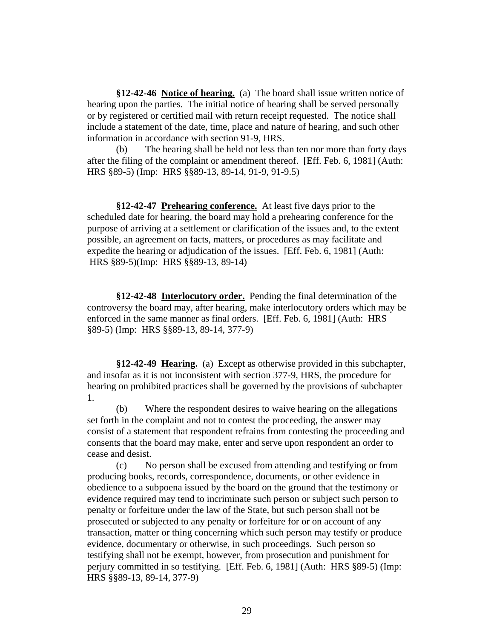**§12-42-46 Notice of hearing.** (a) The board shall issue written notice of hearing upon the parties. The initial notice of hearing shall be served personally or by registered or certified mail with return receipt requested. The notice shall include a statement of the date, time, place and nature of hearing, and such other information in accordance with section 91-9, HRS.

(b) The hearing shall be held not less than ten nor more than forty days after the filing of the complaint or amendment thereof. [Eff. Feb. 6, 1981] (Auth: HRS §89-5) (Imp: HRS §§89-13, 89-14, 91-9, 91-9.5)

**§12-42-47 Prehearing conference.** At least five days prior to the scheduled date for hearing, the board may hold a prehearing conference for the purpose of arriving at a settlement or clarification of the issues and, to the extent possible, an agreement on facts, matters, or procedures as may facilitate and expedite the hearing or adjudication of the issues. [Eff. Feb. 6, 1981] (Auth: HRS §89-5)(Imp: HRS §§89-13, 89-14)

**§12-42-48 Interlocutory order.** Pending the final determination of the controversy the board may, after hearing, make interlocutory orders which may be enforced in the same manner as final orders. [Eff. Feb. 6, 1981] (Auth: HRS §89-5) (Imp: HRS §§89-13, 89-14, 377-9)

**§12-42-49 Hearing.** (a) Except as otherwise provided in this subchapter, and insofar as it is not inconsistent with section 377-9, HRS, the procedure for hearing on prohibited practices shall be governed by the provisions of subchapter 1.

(b) Where the respondent desires to waive hearing on the allegations set forth in the complaint and not to contest the proceeding, the answer may consist of a statement that respondent refrains from contesting the proceeding and consents that the board may make, enter and serve upon respondent an order to cease and desist.

(c) No person shall be excused from attending and testifying or from producing books, records, correspondence, documents, or other evidence in obedience to a subpoena issued by the board on the ground that the testimony or evidence required may tend to incriminate such person or subject such person to penalty or forfeiture under the law of the State, but such person shall not be prosecuted or subjected to any penalty or forfeiture for or on account of any transaction, matter or thing concerning which such person may testify or produce evidence, documentary or otherwise, in such proceedings. Such person so testifying shall not be exempt, however, from prosecution and punishment for perjury committed in so testifying. [Eff. Feb. 6, 1981] (Auth: HRS §89-5) (Imp: HRS §§89-13, 89-14, 377-9)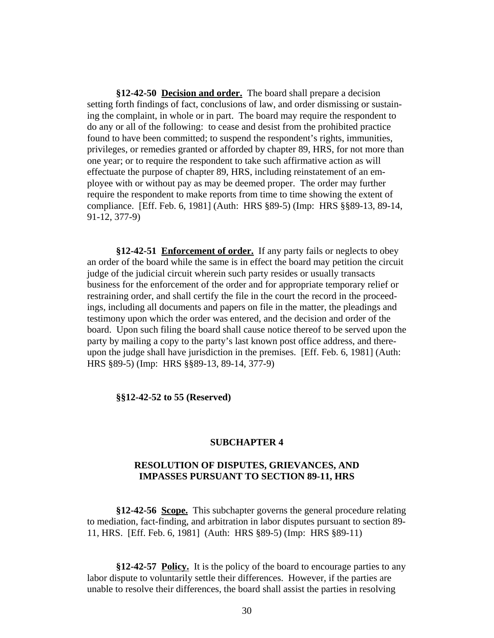**§12-42-50 Decision and order.** The board shall prepare a decision setting forth findings of fact, conclusions of law, and order dismissing or sustaining the complaint, in whole or in part. The board may require the respondent to do any or all of the following: to cease and desist from the prohibited practice found to have been committed; to suspend the respondent's rights, immunities, privileges, or remedies granted or afforded by chapter 89, HRS, for not more than one year; or to require the respondent to take such affirmative action as will effectuate the purpose of chapter 89, HRS, including reinstatement of an employee with or without pay as may be deemed proper. The order may further require the respondent to make reports from time to time showing the extent of compliance. [Eff. Feb. 6, 1981] (Auth: HRS §89-5) (Imp: HRS §§89-13, 89-14, 91-12, 377-9)

**§12-42-51 Enforcement of order.** If any party fails or neglects to obey an order of the board while the same is in effect the board may petition the circuit judge of the judicial circuit wherein such party resides or usually transacts business for the enforcement of the order and for appropriate temporary relief or restraining order, and shall certify the file in the court the record in the proceedings, including all documents and papers on file in the matter, the pleadings and testimony upon which the order was entered, and the decision and order of the board. Upon such filing the board shall cause notice thereof to be served upon the party by mailing a copy to the party's last known post office address, and thereupon the judge shall have jurisdiction in the premises. [Eff. Feb. 6, 1981] (Auth: HRS §89-5) (Imp: HRS §§89-13, 89-14, 377-9)

#### **§§12-42-52 to 55 (Reserved)**

## **SUBCHAPTER 4**

# **RESOLUTION OF DISPUTES, GRIEVANCES, AND IMPASSES PURSUANT TO SECTION 89-11, HRS**

**§12-42-56 Scope.** This subchapter governs the general procedure relating to mediation, fact-finding, and arbitration in labor disputes pursuant to section 89- 11, HRS. [Eff. Feb. 6, 1981] (Auth: HRS §89-5) (Imp: HRS §89-11)

**§12-42-57 Policy.** It is the policy of the board to encourage parties to any labor dispute to voluntarily settle their differences. However, if the parties are unable to resolve their differences, the board shall assist the parties in resolving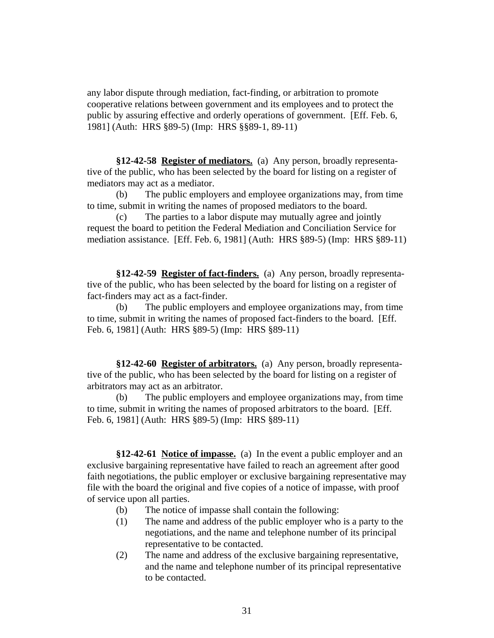any labor dispute through mediation, fact-finding, or arbitration to promote cooperative relations between government and its employees and to protect the public by assuring effective and orderly operations of government. [Eff. Feb. 6, 1981] (Auth: HRS §89-5) (Imp: HRS §§89-1, 89-11)

**§12-42-58 Register of mediators.** (a) Any person, broadly representative of the public, who has been selected by the board for listing on a register of mediators may act as a mediator.

(b) The public employers and employee organizations may, from time to time, submit in writing the names of proposed mediators to the board.

(c) The parties to a labor dispute may mutually agree and jointly request the board to petition the Federal Mediation and Conciliation Service for mediation assistance. [Eff. Feb. 6, 1981] (Auth: HRS §89-5) (Imp: HRS §89-11)

**§12-42-59 Register of fact-finders.** (a) Any person, broadly representative of the public, who has been selected by the board for listing on a register of fact-finders may act as a fact-finder.

(b) The public employers and employee organizations may, from time to time, submit in writing the names of proposed fact-finders to the board. [Eff. Feb. 6, 1981] (Auth: HRS §89-5) (Imp: HRS §89-11)

**§12-42-60 Register of arbitrators.** (a) Any person, broadly representative of the public, who has been selected by the board for listing on a register of arbitrators may act as an arbitrator.

(b) The public employers and employee organizations may, from time to time, submit in writing the names of proposed arbitrators to the board. [Eff. Feb. 6, 1981] (Auth: HRS §89-5) (Imp: HRS §89-11)

**§12-42-61 Notice of impasse.** (a) In the event a public employer and an exclusive bargaining representative have failed to reach an agreement after good faith negotiations, the public employer or exclusive bargaining representative may file with the board the original and five copies of a notice of impasse, with proof of service upon all parties.

- (b) The notice of impasse shall contain the following:
- (1) The name and address of the public employer who is a party to the negotiations, and the name and telephone number of its principal representative to be contacted.
- (2) The name and address of the exclusive bargaining representative, and the name and telephone number of its principal representative to be contacted.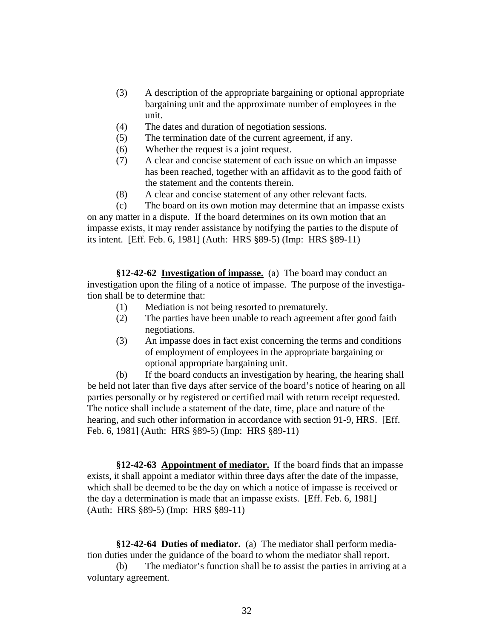- (3) A description of the appropriate bargaining or optional appropriate bargaining unit and the approximate number of employees in the unit.
- (4) The dates and duration of negotiation sessions.
- (5) The termination date of the current agreement, if any.
- (6) Whether the request is a joint request.
- (7) A clear and concise statement of each issue on which an impasse has been reached, together with an affidavit as to the good faith of the statement and the contents therein.
- (8) A clear and concise statement of any other relevant facts.

(c) The board on its own motion may determine that an impasse exists on any matter in a dispute. If the board determines on its own motion that an impasse exists, it may render assistance by notifying the parties to the dispute of its intent. [Eff. Feb. 6, 1981] (Auth: HRS §89-5) (Imp: HRS §89-11)

**§12-42-62 Investigation of impasse.** (a) The board may conduct an investigation upon the filing of a notice of impasse. The purpose of the investigation shall be to determine that:

- (1) Mediation is not being resorted to prematurely.
- (2) The parties have been unable to reach agreement after good faith negotiations.
- (3) An impasse does in fact exist concerning the terms and conditions of employment of employees in the appropriate bargaining or optional appropriate bargaining unit.

(b) If the board conducts an investigation by hearing, the hearing shall be held not later than five days after service of the board's notice of hearing on all parties personally or by registered or certified mail with return receipt requested. The notice shall include a statement of the date, time, place and nature of the hearing, and such other information in accordance with section 91-9, HRS. [Eff. Feb. 6, 1981] (Auth: HRS §89-5) (Imp: HRS §89-11)

**§12-42-63 Appointment of mediator.** If the board finds that an impasse exists, it shall appoint a mediator within three days after the date of the impasse, which shall be deemed to be the day on which a notice of impasse is received or the day a determination is made that an impasse exists. [Eff. Feb. 6, 1981] (Auth: HRS §89-5) (Imp: HRS §89-11)

**§12-42-64 Duties of mediator.** (a) The mediator shall perform mediation duties under the guidance of the board to whom the mediator shall report.

(b) The mediator's function shall be to assist the parties in arriving at a voluntary agreement.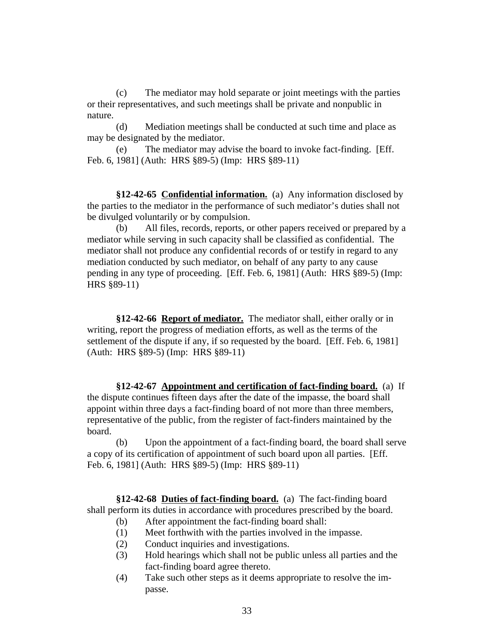(c) The mediator may hold separate or joint meetings with the parties or their representatives, and such meetings shall be private and nonpublic in nature.

(d) Mediation meetings shall be conducted at such time and place as may be designated by the mediator.

(e) The mediator may advise the board to invoke fact-finding. [Eff. Feb. 6, 1981] (Auth: HRS §89-5) (Imp: HRS §89-11)

**§12-42-65 Confidential information.** (a) Any information disclosed by the parties to the mediator in the performance of such mediator's duties shall not be divulged voluntarily or by compulsion.

(b) All files, records, reports, or other papers received or prepared by a mediator while serving in such capacity shall be classified as confidential. The mediator shall not produce any confidential records of or testify in regard to any mediation conducted by such mediator, on behalf of any party to any cause pending in any type of proceeding. [Eff. Feb. 6, 1981] (Auth: HRS §89-5) (Imp: HRS §89-11)

**§12-42-66 Report of mediator.** The mediator shall, either orally or in writing, report the progress of mediation efforts, as well as the terms of the settlement of the dispute if any, if so requested by the board. [Eff. Feb. 6, 1981] (Auth: HRS §89-5) (Imp: HRS §89-11)

**§12-42-67 Appointment and certification of fact-finding board.** (a) If the dispute continues fifteen days after the date of the impasse, the board shall appoint within three days a fact-finding board of not more than three members, representative of the public, from the register of fact-finders maintained by the board.

(b) Upon the appointment of a fact-finding board, the board shall serve a copy of its certification of appointment of such board upon all parties. [Eff. Feb. 6, 1981] (Auth: HRS §89-5) (Imp: HRS §89-11)

**§12-42-68 Duties of fact-finding board.** (a) The fact-finding board shall perform its duties in accordance with procedures prescribed by the board.

- (b) After appointment the fact-finding board shall:
- (1) Meet forthwith with the parties involved in the impasse.
- (2) Conduct inquiries and investigations.
- (3) Hold hearings which shall not be public unless all parties and the fact-finding board agree thereto.
- (4) Take such other steps as it deems appropriate to resolve the impasse.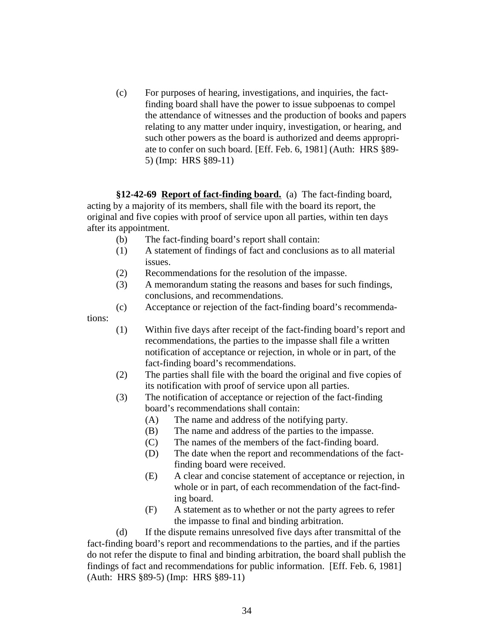(c) For purposes of hearing, investigations, and inquiries, the factfinding board shall have the power to issue subpoenas to compel the attendance of witnesses and the production of books and papers relating to any matter under inquiry, investigation, or hearing, and such other powers as the board is authorized and deems appropriate to confer on such board. [Eff. Feb. 6, 1981] (Auth: HRS §89- 5) (Imp: HRS §89-11)

**§12-42-69 Report of fact-finding board.** (a) The fact-finding board, acting by a majority of its members, shall file with the board its report, the original and five copies with proof of service upon all parties, within ten days after its appointment.

- (b) The fact-finding board's report shall contain:
- (1) A statement of findings of fact and conclusions as to all material issues.
- (2) Recommendations for the resolution of the impasse.
- (3) A memorandum stating the reasons and bases for such findings, conclusions, and recommendations.
- (c) Acceptance or rejection of the fact-finding board's recommenda-

tions:

- (1) Within five days after receipt of the fact-finding board's report and recommendations, the parties to the impasse shall file a written notification of acceptance or rejection, in whole or in part, of the fact-finding board's recommendations.
- (2) The parties shall file with the board the original and five copies of its notification with proof of service upon all parties.
- (3) The notification of acceptance or rejection of the fact-finding board's recommendations shall contain:
	- (A) The name and address of the notifying party.
	- (B) The name and address of the parties to the impasse.
	- (C) The names of the members of the fact-finding board.
	- (D) The date when the report and recommendations of the factfinding board were received.
	- (E) A clear and concise statement of acceptance or rejection, in whole or in part, of each recommendation of the fact-finding board.
	- (F) A statement as to whether or not the party agrees to refer the impasse to final and binding arbitration.

(d) If the dispute remains unresolved five days after transmittal of the fact-finding board's report and recommendations to the parties, and if the parties do not refer the dispute to final and binding arbitration, the board shall publish the findings of fact and recommendations for public information. [Eff. Feb. 6, 1981] (Auth: HRS §89-5) (Imp: HRS §89-11)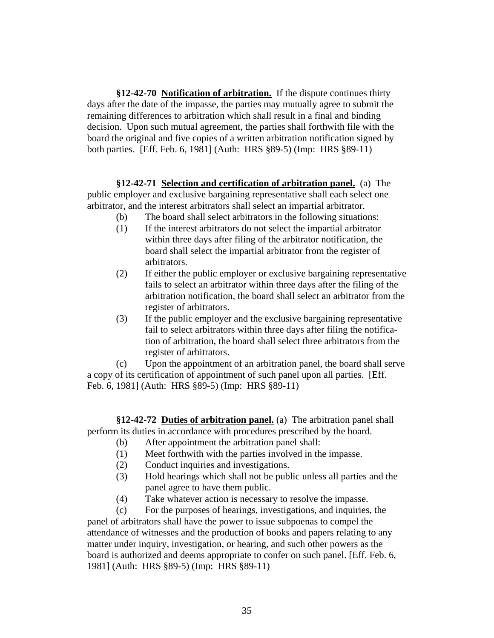**§12-42-70 Notification of arbitration.** If the dispute continues thirty days after the date of the impasse, the parties may mutually agree to submit the remaining differences to arbitration which shall result in a final and binding decision. Upon such mutual agreement, the parties shall forthwith file with the board the original and five copies of a written arbitration notification signed by both parties. [Eff. Feb. 6, 1981] (Auth: HRS §89-5) (Imp: HRS §89-11)

**§12-42-71 Selection and certification of arbitration panel.** (a) The public employer and exclusive bargaining representative shall each select one arbitrator, and the interest arbitrators shall select an impartial arbitrator.

- (b) The board shall select arbitrators in the following situations:
- (1) If the interest arbitrators do not select the impartial arbitrator within three days after filing of the arbitrator notification, the board shall select the impartial arbitrator from the register of arbitrators.
- (2) If either the public employer or exclusive bargaining representative fails to select an arbitrator within three days after the filing of the arbitration notification, the board shall select an arbitrator from the register of arbitrators.
- (3) If the public employer and the exclusive bargaining representative fail to select arbitrators within three days after filing the notification of arbitration, the board shall select three arbitrators from the register of arbitrators.

(c) Upon the appointment of an arbitration panel, the board shall serve a copy of its certification of appointment of such panel upon all parties. [Eff. Feb. 6, 1981] (Auth: HRS §89-5) (Imp: HRS §89-11)

**§12-42-72 Duties of arbitration panel.** (a) The arbitration panel shall perform its duties in accordance with procedures prescribed by the board.

- (b) After appointment the arbitration panel shall:
- (1) Meet forthwith with the parties involved in the impasse.
- (2) Conduct inquiries and investigations.
- (3) Hold hearings which shall not be public unless all parties and the panel agree to have them public.
- (4) Take whatever action is necessary to resolve the impasse.

(c) For the purposes of hearings, investigations, and inquiries, the panel of arbitrators shall have the power to issue subpoenas to compel the attendance of witnesses and the production of books and papers relating to any matter under inquiry, investigation, or hearing, and such other powers as the board is authorized and deems appropriate to confer on such panel. [Eff. Feb. 6, 1981] (Auth: HRS §89-5) (Imp: HRS §89-11)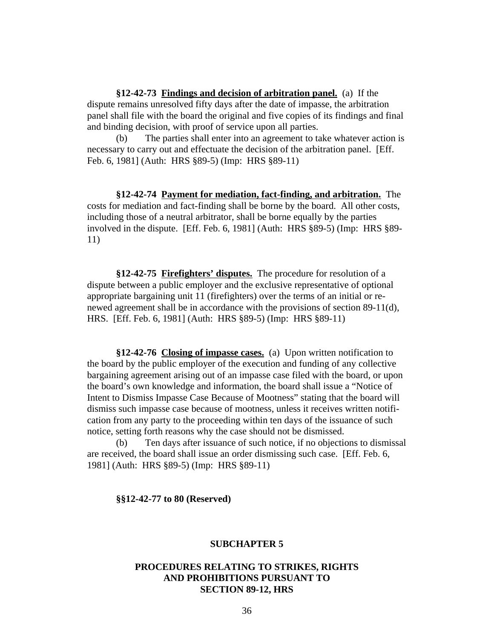**§12-42-73 Findings and decision of arbitration panel.** (a) If the dispute remains unresolved fifty days after the date of impasse, the arbitration panel shall file with the board the original and five copies of its findings and final and binding decision, with proof of service upon all parties.

(b) The parties shall enter into an agreement to take whatever action is necessary to carry out and effectuate the decision of the arbitration panel. [Eff. Feb. 6, 1981] (Auth: HRS §89-5) (Imp: HRS §89-11)

**§12-42-74 Payment for mediation, fact-finding, and arbitration.** The costs for mediation and fact-finding shall be borne by the board. All other costs, including those of a neutral arbitrator, shall be borne equally by the parties involved in the dispute. [Eff. Feb. 6, 1981] (Auth: HRS §89-5) (Imp: HRS §89- 11)

**§12-42-75 Firefighters' disputes.** The procedure for resolution of a dispute between a public employer and the exclusive representative of optional appropriate bargaining unit 11 (firefighters) over the terms of an initial or renewed agreement shall be in accordance with the provisions of section 89-11(d), HRS. [Eff. Feb. 6, 1981] (Auth: HRS §89-5) (Imp: HRS §89-11)

**§12-42-76 Closing of impasse cases.** (a) Upon written notification to the board by the public employer of the execution and funding of any collective bargaining agreement arising out of an impasse case filed with the board, or upon the board's own knowledge and information, the board shall issue a "Notice of Intent to Dismiss Impasse Case Because of Mootness" stating that the board will dismiss such impasse case because of mootness, unless it receives written notification from any party to the proceeding within ten days of the issuance of such notice, setting forth reasons why the case should not be dismissed.

(b) Ten days after issuance of such notice, if no objections to dismissal are received, the board shall issue an order dismissing such case. [Eff. Feb. 6, 1981] (Auth: HRS §89-5) (Imp: HRS §89-11)

**§§12-42-77 to 80 (Reserved)**

#### **SUBCHAPTER 5**

# **PROCEDURES RELATING TO STRIKES, RIGHTS AND PROHIBITIONS PURSUANT TO SECTION 89-12, HRS**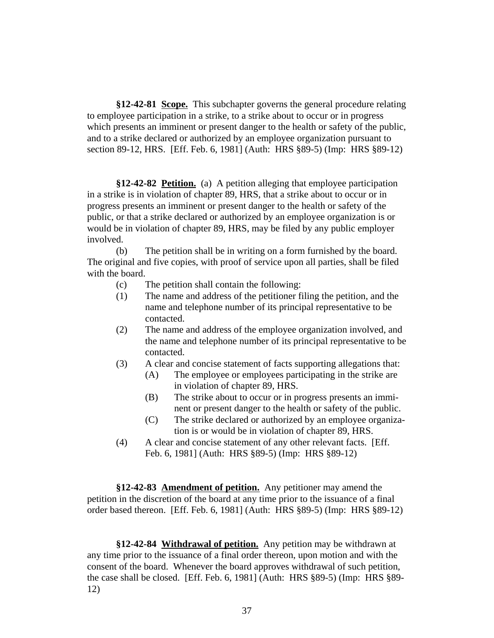**§12-42-81 Scope.** This subchapter governs the general procedure relating to employee participation in a strike, to a strike about to occur or in progress which presents an imminent or present danger to the health or safety of the public, and to a strike declared or authorized by an employee organization pursuant to section 89-12, HRS. [Eff. Feb. 6, 1981] (Auth: HRS §89-5) (Imp: HRS §89-12)

**§12-42-82 Petition.** (a) A petition alleging that employee participation in a strike is in violation of chapter 89, HRS, that a strike about to occur or in progress presents an imminent or present danger to the health or safety of the public, or that a strike declared or authorized by an employee organization is or would be in violation of chapter 89, HRS, may be filed by any public employer involved.

(b) The petition shall be in writing on a form furnished by the board. The original and five copies, with proof of service upon all parties, shall be filed with the board.

- (c) The petition shall contain the following:
- (1) The name and address of the petitioner filing the petition, and the name and telephone number of its principal representative to be contacted.
- (2) The name and address of the employee organization involved, and the name and telephone number of its principal representative to be contacted.
- (3) A clear and concise statement of facts supporting allegations that:
	- (A) The employee or employees participating in the strike are in violation of chapter 89, HRS.
	- (B) The strike about to occur or in progress presents an imminent or present danger to the health or safety of the public.
	- (C) The strike declared or authorized by an employee organization is or would be in violation of chapter 89, HRS.
- (4) A clear and concise statement of any other relevant facts. [Eff. Feb. 6, 1981] (Auth: HRS §89-5) (Imp: HRS §89-12)

**§12-42-83 Amendment of petition.** Any petitioner may amend the petition in the discretion of the board at any time prior to the issuance of a final order based thereon. [Eff. Feb. 6, 1981] (Auth: HRS §89-5) (Imp: HRS §89-12)

**§12-42-84 Withdrawal of petition.** Any petition may be withdrawn at any time prior to the issuance of a final order thereon, upon motion and with the consent of the board. Whenever the board approves withdrawal of such petition, the case shall be closed. [Eff. Feb. 6, 1981] (Auth: HRS §89-5) (Imp: HRS §89- 12)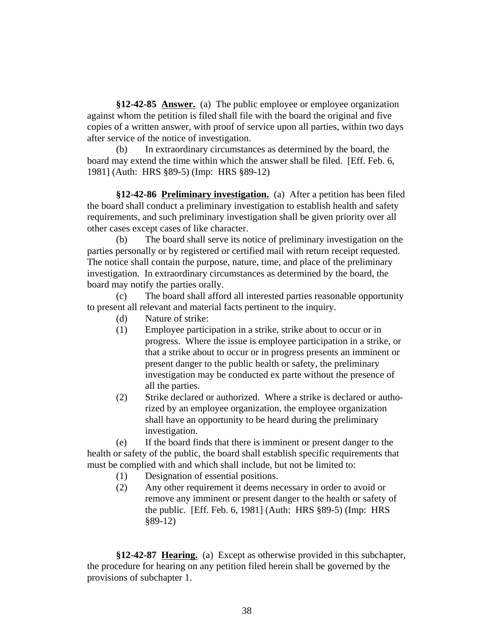**§12-42-85 Answer.** (a) The public employee or employee organization against whom the petition is filed shall file with the board the original and five copies of a written answer, with proof of service upon all parties, within two days after service of the notice of investigation.

(b) In extraordinary circumstances as determined by the board, the board may extend the time within which the answer shall be filed. [Eff. Feb. 6, 1981] (Auth: HRS §89-5) (Imp: HRS §89-12)

**§12-42-86 Preliminary investigation.** (a) After a petition has been filed the board shall conduct a preliminary investigation to establish health and safety requirements, and such preliminary investigation shall be given priority over all other cases except cases of like character.

(b) The board shall serve its notice of preliminary investigation on the parties personally or by registered or certified mail with return receipt requested. The notice shall contain the purpose, nature, time, and place of the preliminary investigation. In extraordinary circumstances as determined by the board, the board may notify the parties orally.

(c) The board shall afford all interested parties reasonable opportunity to present all relevant and material facts pertinent to the inquiry.

- (d) Nature of strike:
- (1) Employee participation in a strike, strike about to occur or in progress. Where the issue is employee participation in a strike, or that a strike about to occur or in progress presents an imminent or present danger to the public health or safety, the preliminary investigation may be conducted ex parte without the presence of all the parties.
- (2) Strike declared or authorized. Where a strike is declared or authorized by an employee organization, the employee organization shall have an opportunity to be heard during the preliminary investigation.

(e) If the board finds that there is imminent or present danger to the health or safety of the public, the board shall establish specific requirements that must be complied with and which shall include, but not be limited to:

- (1) Designation of essential positions.
- (2) Any other requirement it deems necessary in order to avoid or remove any imminent or present danger to the health or safety of the public. [Eff. Feb. 6, 1981] (Auth: HRS §89-5) (Imp: HRS §89-12)

**§12-42-87 Hearing.** (a) Except as otherwise provided in this subchapter, the procedure for hearing on any petition filed herein shall be governed by the provisions of subchapter 1.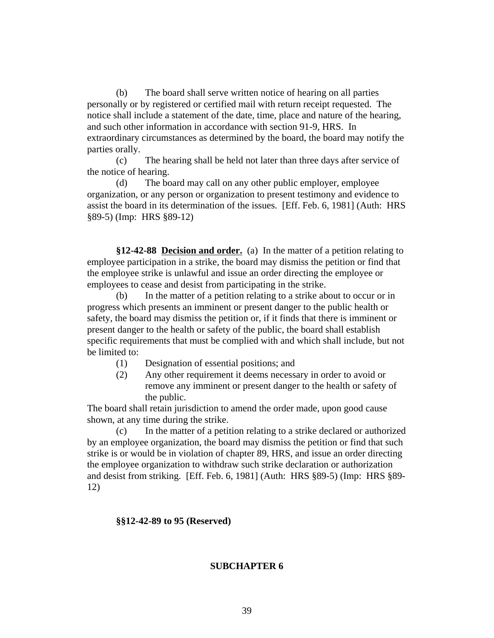(b) The board shall serve written notice of hearing on all parties personally or by registered or certified mail with return receipt requested. The notice shall include a statement of the date, time, place and nature of the hearing, and such other information in accordance with section 91-9, HRS. In extraordinary circumstances as determined by the board, the board may notify the parties orally.

(c) The hearing shall be held not later than three days after service of the notice of hearing.

(d) The board may call on any other public employer, employee organization, or any person or organization to present testimony and evidence to assist the board in its determination of the issues. [Eff. Feb. 6, 1981] (Auth: HRS §89-5) (Imp: HRS §89-12)

**§12-42-88 Decision and order.** (a) In the matter of a petition relating to employee participation in a strike, the board may dismiss the petition or find that the employee strike is unlawful and issue an order directing the employee or employees to cease and desist from participating in the strike.

(b) In the matter of a petition relating to a strike about to occur or in progress which presents an imminent or present danger to the public health or safety, the board may dismiss the petition or, if it finds that there is imminent or present danger to the health or safety of the public, the board shall establish specific requirements that must be complied with and which shall include, but not be limited to:

- (1) Designation of essential positions; and
- (2) Any other requirement it deems necessary in order to avoid or remove any imminent or present danger to the health or safety of the public.

The board shall retain jurisdiction to amend the order made, upon good cause shown, at any time during the strike.

(c) In the matter of a petition relating to a strike declared or authorized by an employee organization, the board may dismiss the petition or find that such strike is or would be in violation of chapter 89, HRS, and issue an order directing the employee organization to withdraw such strike declaration or authorization and desist from striking. [Eff. Feb. 6, 1981] (Auth: HRS §89-5) (Imp: HRS §89- 12)

#### **§§12-42-89 to 95 (Reserved)**

#### **SUBCHAPTER 6**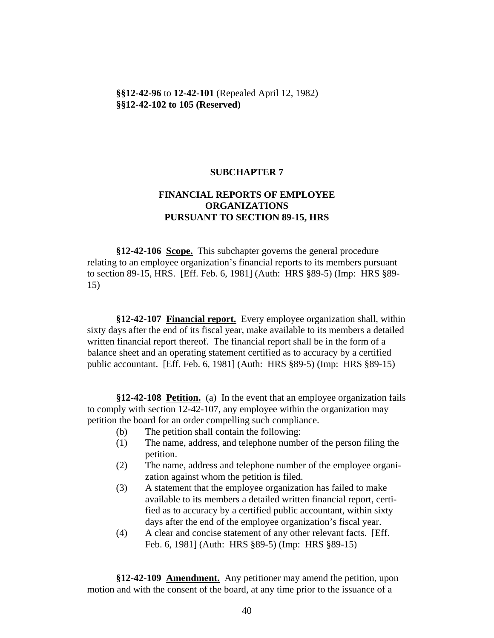**§§12-42-96** to **12-42-101** (Repealed April 12, 1982) **§§12-42-102 to 105 (Reserved)**

## **SUBCHAPTER 7**

# **FINANCIAL REPORTS OF EMPLOYEE ORGANIZATIONS PURSUANT TO SECTION 89-15, HRS**

**§12-42-106 Scope.** This subchapter governs the general procedure relating to an employee organization's financial reports to its members pursuant to section 89-15, HRS. [Eff. Feb. 6, 1981] (Auth: HRS §89-5) (Imp: HRS §89- 15)

**§12-42-107 Financial report.** Every employee organization shall, within sixty days after the end of its fiscal year, make available to its members a detailed written financial report thereof. The financial report shall be in the form of a balance sheet and an operating statement certified as to accuracy by a certified public accountant. [Eff. Feb. 6, 1981] (Auth: HRS §89-5) (Imp: HRS §89-15)

**§12-42-108 Petition.** (a) In the event that an employee organization fails to comply with section 12-42-107, any employee within the organization may petition the board for an order compelling such compliance.

- (b) The petition shall contain the following:
- (1) The name, address, and telephone number of the person filing the petition.
- (2) The name, address and telephone number of the employee organization against whom the petition is filed.
- (3) A statement that the employee organization has failed to make available to its members a detailed written financial report, certified as to accuracy by a certified public accountant, within sixty days after the end of the employee organization's fiscal year.
- (4) A clear and concise statement of any other relevant facts. [Eff. Feb. 6, 1981] (Auth: HRS §89-5) (Imp: HRS §89-15)

**§12-42-109 Amendment.** Any petitioner may amend the petition, upon motion and with the consent of the board, at any time prior to the issuance of a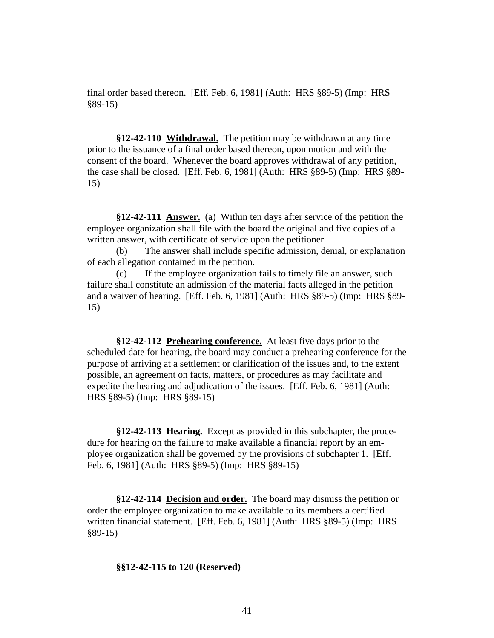final order based thereon. [Eff. Feb. 6, 1981] (Auth: HRS §89-5) (Imp: HRS §89-15)

**§12-42-110 Withdrawal.** The petition may be withdrawn at any time prior to the issuance of a final order based thereon, upon motion and with the consent of the board. Whenever the board approves withdrawal of any petition, the case shall be closed. [Eff. Feb. 6, 1981] (Auth: HRS §89-5) (Imp: HRS §89- 15)

**§12-42-111 Answer.** (a) Within ten days after service of the petition the employee organization shall file with the board the original and five copies of a written answer, with certificate of service upon the petitioner.

(b) The answer shall include specific admission, denial, or explanation of each allegation contained in the petition.

(c) If the employee organization fails to timely file an answer, such failure shall constitute an admission of the material facts alleged in the petition and a waiver of hearing. [Eff. Feb. 6, 1981] (Auth: HRS §89-5) (Imp: HRS §89- 15)

**§12-42-112 Prehearing conference.** At least five days prior to the scheduled date for hearing, the board may conduct a prehearing conference for the purpose of arriving at a settlement or clarification of the issues and, to the extent possible, an agreement on facts, matters, or procedures as may facilitate and expedite the hearing and adjudication of the issues. [Eff. Feb. 6, 1981] (Auth: HRS §89-5) (Imp: HRS §89-15)

**§12-42-113 Hearing.** Except as provided in this subchapter, the procedure for hearing on the failure to make available a financial report by an employee organization shall be governed by the provisions of subchapter 1. [Eff. Feb. 6, 1981] (Auth: HRS §89-5) (Imp: HRS §89-15)

**§12-42-114 Decision and order.** The board may dismiss the petition or order the employee organization to make available to its members a certified written financial statement. [Eff. Feb. 6, 1981] (Auth: HRS §89-5) (Imp: HRS §89-15)

### **§§12-42-115 to 120 (Reserved)**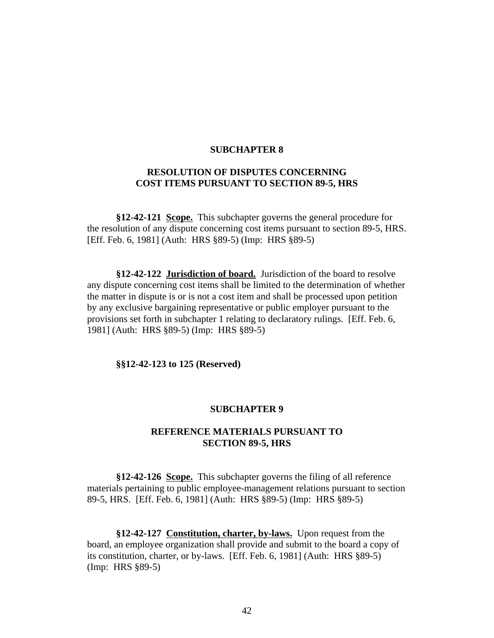#### **SUBCHAPTER 8**

# **RESOLUTION OF DISPUTES CONCERNING COST ITEMS PURSUANT TO SECTION 89-5, HRS**

**§12-42-121 Scope.** This subchapter governs the general procedure for the resolution of any dispute concerning cost items pursuant to section 89-5, HRS. [Eff. Feb. 6, 1981] (Auth: HRS §89-5) (Imp: HRS §89-5)

**§12-42-122 Jurisdiction of board.** Jurisdiction of the board to resolve any dispute concerning cost items shall be limited to the determination of whether the matter in dispute is or is not a cost item and shall be processed upon petition by any exclusive bargaining representative or public employer pursuant to the provisions set forth in subchapter 1 relating to declaratory rulings. [Eff. Feb. 6, 1981] (Auth: HRS §89-5) (Imp: HRS §89-5)

**§§12-42-123 to 125 (Reserved)**

#### **SUBCHAPTER 9**

## **REFERENCE MATERIALS PURSUANT TO SECTION 89-5, HRS**

**§12-42-126 Scope.** This subchapter governs the filing of all reference materials pertaining to public employee-management relations pursuant to section 89-5, HRS. [Eff. Feb. 6, 1981] (Auth: HRS §89-5) (Imp: HRS §89-5)

**§12-42-127 Constitution, charter, by-laws.** Upon request from the board, an employee organization shall provide and submit to the board a copy of its constitution, charter, or by-laws. [Eff. Feb. 6, 1981] (Auth: HRS §89-5) (Imp: HRS §89-5)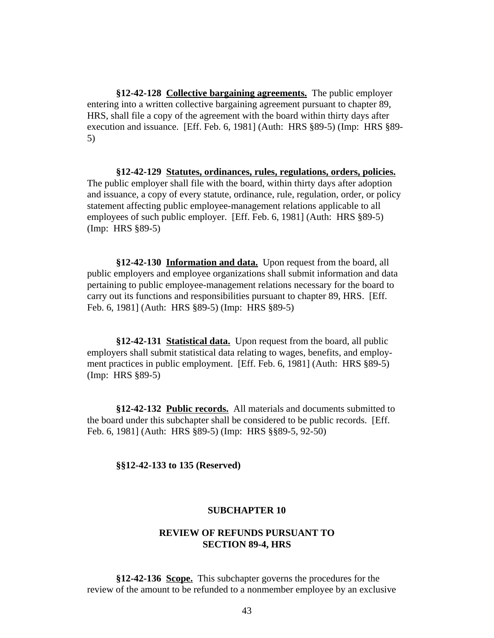**§12-42-128 Collective bargaining agreements.** The public employer entering into a written collective bargaining agreement pursuant to chapter 89, HRS, shall file a copy of the agreement with the board within thirty days after execution and issuance. [Eff. Feb. 6, 1981] (Auth: HRS §89-5) (Imp: HRS §89- 5)

**§12-42-129 Statutes, ordinances, rules, regulations, orders, policies.** The public employer shall file with the board, within thirty days after adoption and issuance, a copy of every statute, ordinance, rule, regulation, order, or policy statement affecting public employee-management relations applicable to all employees of such public employer. [Eff. Feb. 6, 1981] (Auth: HRS §89-5) (Imp: HRS §89-5)

**§12-42-130 Information and data.** Upon request from the board, all public employers and employee organizations shall submit information and data pertaining to public employee-management relations necessary for the board to carry out its functions and responsibilities pursuant to chapter 89, HRS. [Eff. Feb. 6, 1981] (Auth: HRS §89-5) (Imp: HRS §89-5)

**§12-42-131 Statistical data.** Upon request from the board, all public employers shall submit statistical data relating to wages, benefits, and employment practices in public employment. [Eff. Feb. 6, 1981] (Auth: HRS §89-5) (Imp: HRS §89-5)

**§12-42-132 Public records.** All materials and documents submitted to the board under this subchapter shall be considered to be public records. [Eff. Feb. 6, 1981] (Auth: HRS §89-5) (Imp: HRS §§89-5, 92-50)

**§§12-42-133 to 135 (Reserved)**

## **SUBCHAPTER 10**

## **REVIEW OF REFUNDS PURSUANT TO SECTION 89-4, HRS**

**§12-42-136 Scope.** This subchapter governs the procedures for the review of the amount to be refunded to a nonmember employee by an exclusive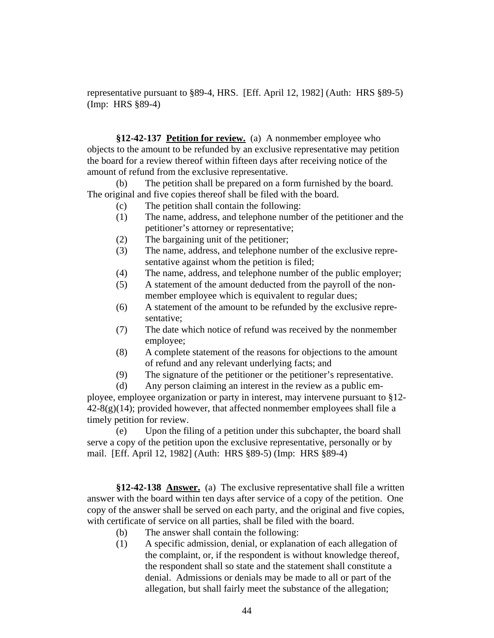representative pursuant to §89-4, HRS. [Eff. April 12, 1982] (Auth: HRS §89-5) (Imp: HRS §89-4)

**§12-42-137 Petition for review.** (a) A nonmember employee who objects to the amount to be refunded by an exclusive representative may petition the board for a review thereof within fifteen days after receiving notice of the amount of refund from the exclusive representative.

(b) The petition shall be prepared on a form furnished by the board. The original and five copies thereof shall be filed with the board.

- (c) The petition shall contain the following:
- (1) The name, address, and telephone number of the petitioner and the petitioner's attorney or representative;
- (2) The bargaining unit of the petitioner;
- (3) The name, address, and telephone number of the exclusive representative against whom the petition is filed;
- (4) The name, address, and telephone number of the public employer;
- (5) A statement of the amount deducted from the payroll of the nonmember employee which is equivalent to regular dues;
- (6) A statement of the amount to be refunded by the exclusive representative;
- (7) The date which notice of refund was received by the nonmember employee;
- (8) A complete statement of the reasons for objections to the amount of refund and any relevant underlying facts; and
- (9) The signature of the petitioner or the petitioner's representative.

(d) Any person claiming an interest in the review as a public employee, employee organization or party in interest, may intervene pursuant to §12-  $42-8(g)(14)$ ; provided however, that affected nonmember employees shall file a timely petition for review.

(e) Upon the filing of a petition under this subchapter, the board shall serve a copy of the petition upon the exclusive representative, personally or by mail. [Eff. April 12, 1982] (Auth: HRS §89-5) (Imp: HRS §89-4)

**§12-42-138 Answer.** (a) The exclusive representative shall file a written answer with the board within ten days after service of a copy of the petition. One copy of the answer shall be served on each party, and the original and five copies, with certificate of service on all parties, shall be filed with the board.

- (b) The answer shall contain the following:
- (1) A specific admission, denial, or explanation of each allegation of the complaint, or, if the respondent is without knowledge thereof, the respondent shall so state and the statement shall constitute a denial. Admissions or denials may be made to all or part of the allegation, but shall fairly meet the substance of the allegation;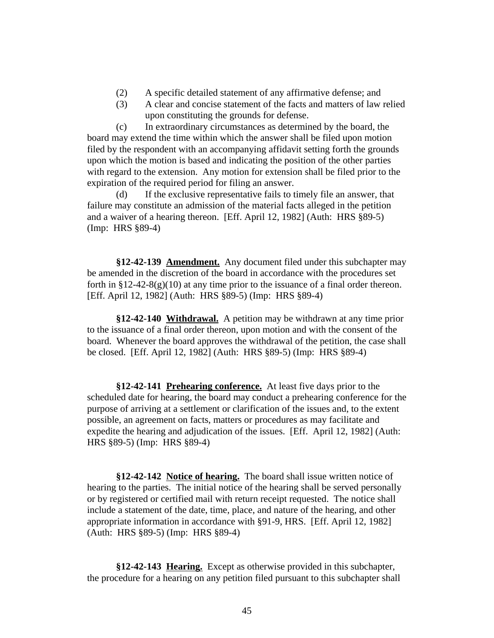- (2) A specific detailed statement of any affirmative defense; and
- (3) A clear and concise statement of the facts and matters of law relied upon constituting the grounds for defense.

(c) In extraordinary circumstances as determined by the board, the board may extend the time within which the answer shall be filed upon motion filed by the respondent with an accompanying affidavit setting forth the grounds upon which the motion is based and indicating the position of the other parties with regard to the extension. Any motion for extension shall be filed prior to the expiration of the required period for filing an answer.

(d) If the exclusive representative fails to timely file an answer, that failure may constitute an admission of the material facts alleged in the petition and a waiver of a hearing thereon. [Eff. April 12, 1982] (Auth: HRS §89-5) (Imp: HRS §89-4)

**§12-42-139 Amendment.** Any document filed under this subchapter may be amended in the discretion of the board in accordance with the procedures set forth in  $\S 12-42-8(g)(10)$  at any time prior to the issuance of a final order thereon. [Eff. April 12, 1982] (Auth: HRS §89-5) (Imp: HRS §89-4)

**§12-42-140 Withdrawal.** A petition may be withdrawn at any time prior to the issuance of a final order thereon, upon motion and with the consent of the board. Whenever the board approves the withdrawal of the petition, the case shall be closed. [Eff. April 12, 1982] (Auth: HRS §89-5) (Imp: HRS §89-4)

**§12-42-141 Prehearing conference.** At least five days prior to the scheduled date for hearing, the board may conduct a prehearing conference for the purpose of arriving at a settlement or clarification of the issues and, to the extent possible, an agreement on facts, matters or procedures as may facilitate and expedite the hearing and adjudication of the issues. [Eff. April 12, 1982] (Auth: HRS §89-5) (Imp: HRS §89-4)

**§12-42-142 Notice of hearing.** The board shall issue written notice of hearing to the parties. The initial notice of the hearing shall be served personally or by registered or certified mail with return receipt requested. The notice shall include a statement of the date, time, place, and nature of the hearing, and other appropriate information in accordance with §91-9, HRS. [Eff. April 12, 1982] (Auth: HRS §89-5) (Imp: HRS §89-4)

**§12-42-143 Hearing.** Except as otherwise provided in this subchapter, the procedure for a hearing on any petition filed pursuant to this subchapter shall